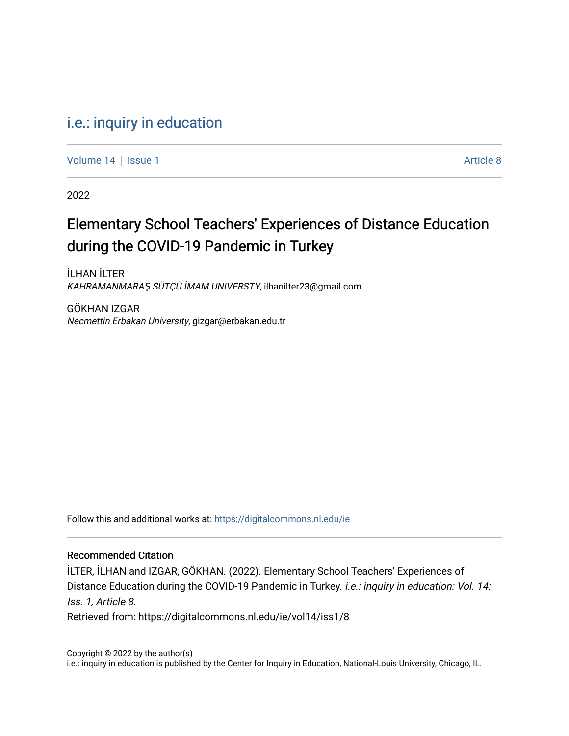# [i.e.: inquiry in education](https://digitalcommons.nl.edu/ie)

[Volume 14](https://digitalcommons.nl.edu/ie/vol14) Suitsue 1 Article 8

2022

# Elementary School Teachers' Experiences of Distance Education during the COVID-19 Pandemic in Turkey

İLHAN İLTER KAHRAMANMARAŞ SÜTÇÜ İMAM UNIVERSTY, ilhanilter23@gmail.com

GÖKHAN IZGAR Necmettin Erbakan University, gizgar@erbakan.edu.tr

Follow this and additional works at: [https://digitalcommons.nl.edu/ie](https://digitalcommons.nl.edu/ie?utm_source=digitalcommons.nl.edu%2Fie%2Fvol14%2Fiss1%2F8&utm_medium=PDF&utm_campaign=PDFCoverPages) 

#### Recommended Citation

İLTER, İLHAN and IZGAR, GÖKHAN. (2022). Elementary School Teachers' Experiences of Distance Education during the COVID-19 Pandemic in Turkey. *i.e.: inquiry in education: Vol. 14:* Iss. 1, Article 8. Retrieved from: https://digitalcommons.nl.edu/ie/vol14/iss1/8

Copyright © 2022 by the author(s) i.e.: inquiry in education is published by the Center for Inquiry in Education, National-Louis University, Chicago, IL.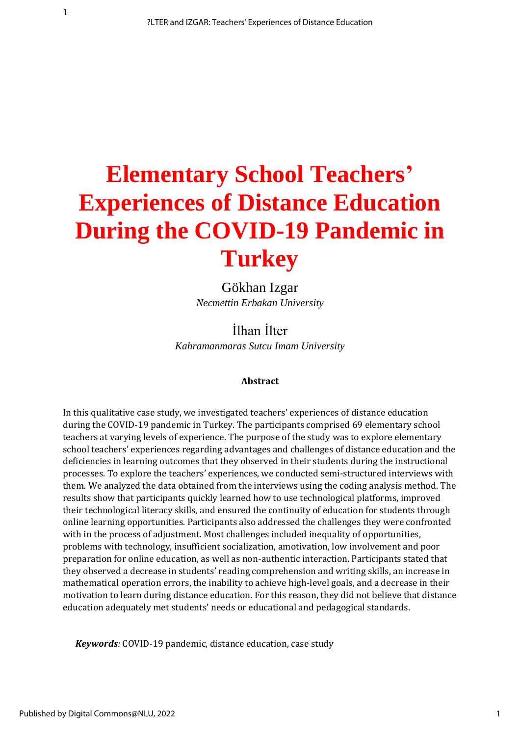# **Elementary School Teachers' Experiences of Distance Education During the COVID-19 Pandemic in Turkey**

Gökhan Izgar *Necmettin Erbakan University*

İlhan İlter *Kahramanmaras Sutcu Imam University*

#### **Abstract**

In this qualitative case study, we investigated teachers' experiences of distance education during the COVID-19 pandemic in Turkey. The participants comprised 69 elementary school teachers at varying levels of experience. The purpose of the study was to explore elementary school teachers' experiences regarding advantages and challenges of distance education and the deficiencies in learning outcomes that they observed in their students during the instructional processes. To explore the teachers' experiences, we conducted semi-structured interviews with them. We analyzed the data obtained from the interviews using the coding analysis method. The results show that participants quickly learned how to use technological platforms, improved their technological literacy skills, and ensured the continuity of education for students through online learning opportunities. Participants also addressed the challenges they were confronted with in the process of adjustment. Most challenges included inequality of opportunities, problems with technology, insufficient socialization, amotivation, low involvement and poor preparation for online education, as well as non-authentic interaction. Participants stated that they observed a decrease in students' reading comprehension and writing skills, an increase in mathematical operation errors, the inability to achieve high-level goals, and a decrease in their motivation to learn during distance education. For this reason, they did not believe that distance education adequately met students' needs or educational and pedagogical standards.

*Keywords:* COVID-19 pandemic, distance education, case study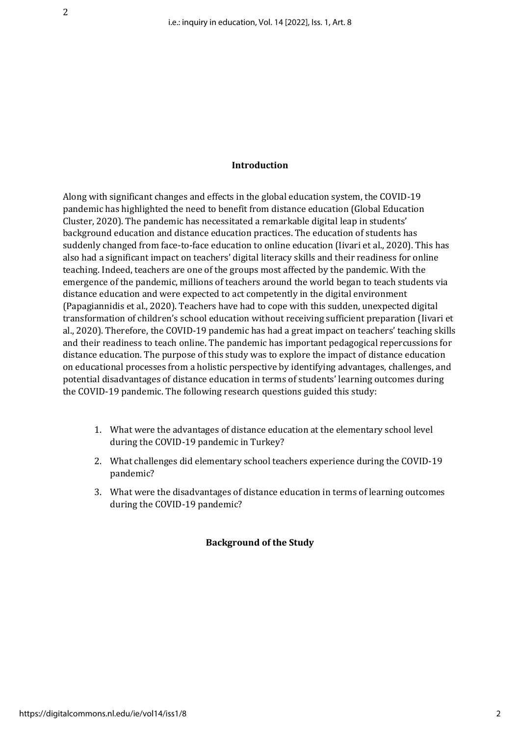#### **Introduction**

Along with significant changes and effects in the global education system, the COVID-19 pandemic has highlighted the need to benefit from distance education (Global Education Cluster, 2020). The pandemic has necessitated a remarkable digital leap in students' background education and distance education practices. The education of students has suddenly changed from face-to-face education to online education (Iivari et al., 2020). This has also had a significant impact on teachers' digital literacy skills and their readiness for online teaching. Indeed, teachers are one of the groups most affected by the pandemic. With the emergence of the pandemic, millions of teachers around the world began to teach students via distance education and were expected to act competently in the digital environment (Papagiannidis et al., 2020). Teachers have had to cope with this sudden, unexpected digital transformation of children's school education without receiving sufficient preparation (Iivari et al., 2020). Therefore, the COVID-19 pandemic has had a great impact on teachers' teaching skills and their readiness to teach online. The pandemic has important pedagogical repercussions for distance education. The purpose of this study was to explore the impact of distance education on educational processes from a holistic perspective by identifying advantages, challenges, and potential disadvantages of distance education in terms of students' learning outcomes during the COVID-19 pandemic. The following research questions guided this study:

- 1. What were the advantages of distance education at the elementary school level during the COVID-19 pandemic in Turkey?
- 2. What challenges did elementary school teachers experience during the COVID-19 pandemic?
- 3. What were the disadvantages of distance education in terms of learning outcomes during the COVID-19 pandemic?

## **Background of the Study**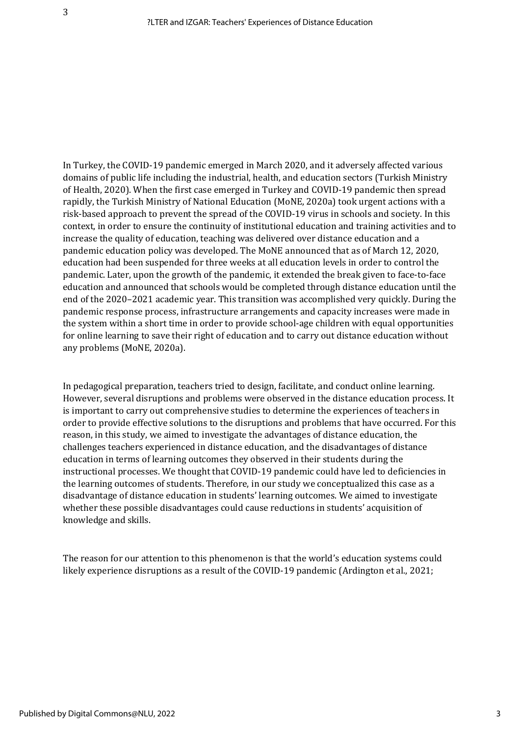In Turkey, the COVID-19 pandemic emerged in March 2020, and it adversely affected various domains of public life including the industrial, health, and education sectors (Turkish Ministry of Health, 2020). When the first case emerged in Turkey and COVID-19 pandemic then spread rapidly, the Turkish Ministry of National Education (MoNE, 2020a) took urgent actions with a risk-based approach to prevent the spread of the COVID-19 virus in schools and society. In this context, in order to ensure the continuity of institutional education and training activities and to increase the quality of education, teaching was delivered over distance education and a pandemic education policy was developed. The MoNE announced that as of March 12, 2020, education had been suspended for three weeks at all education levels in order to control the pandemic. Later, upon the growth of the pandemic, it extended the break given to face-to-face education and announced that schools would be completed through distance education until the end of the 2020–2021 academic year. This transition was accomplished very quickly. During the pandemic response process, infrastructure arrangements and capacity increases were made in the system within a short time in order to provide school-age children with equal opportunities for online learning to save their right of education and to carry out distance education without any problems (MoNE, 2020a).

In pedagogical preparation, teachers tried to design, facilitate, and conduct online learning. However, several disruptions and problems were observed in the distance education process. It is important to carry out comprehensive studies to determine the experiences of teachers in order to provide effective solutions to the disruptions and problems that have occurred. For this reason, in this study, we aimed to investigate the advantages of distance education, the challenges teachers experienced in distance education, and the disadvantages of distance education in terms of learning outcomes they observed in their students during the instructional processes. We thought that COVID-19 pandemic could have led to deficiencies in the learning outcomes of students. Therefore, in our study we conceptualized this case as a disadvantage of distance education in students' learning outcomes. We aimed to investigate whether these possible disadvantages could cause reductions in students' acquisition of knowledge and skills.

The reason for our attention to this phenomenon is that the world's education systems could likely experience disruptions as a result of the COVID-19 pandemic (Ardington et al., 2021;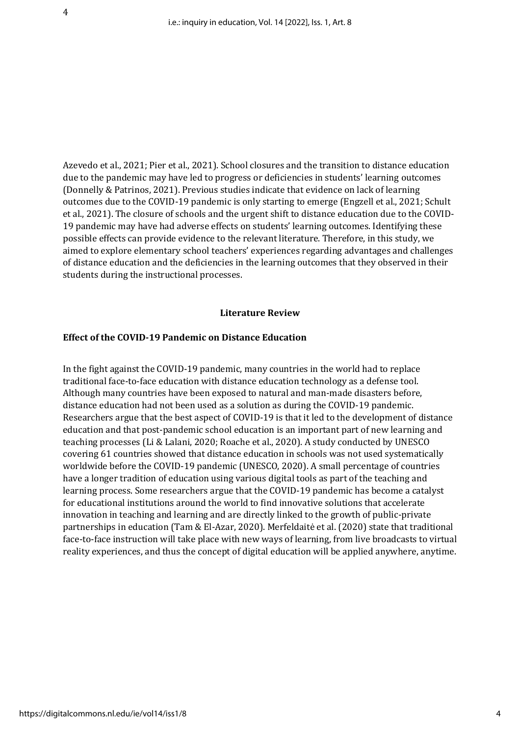Azevedo et al., 2021; Pier et al., 2021). School closures and the transition to distance education due to the pandemic may have led to progress or deficiencies in students' learning outcomes (Donnelly & Patrinos, 2021). Previous studies indicate that evidence on lack of learning outcomes due to the COVID-19 pandemic is only starting to emerge (Engzell et al., 2021; Schult et al., 2021). The closure of schools and the urgent shift to distance education due to the COVID-19 pandemic may have had adverse effects on students' learning outcomes. Identifying these possible effects can provide evidence to the relevant literature. Therefore, in this study, we aimed to explore elementary school teachers' experiences regarding advantages and challenges of distance education and the deficiencies in the learning outcomes that they observed in their students during the instructional processes.

#### **Literature Review**

#### **Effect of the COVID-19 Pandemic on Distance Education**

In the fight against the COVID-19 pandemic, many countries in the world had to replace traditional face-to-face education with distance education technology as a defense tool. Although many countries have been exposed to natural and man-made disasters before, distance education had not been used as a solution as during the COVID-19 pandemic. Researchers argue that the best aspect of COVID-19 is that it led to the development of distance education and that post-pandemic school education is an important part of new learning and teaching processes (Li & Lalani, 2020; Roache et al., 2020). A study conducted by UNESCO covering 61 countries showed that distance education in schools was not used systematically worldwide before the COVID-19 pandemic (UNESCO, 2020). A small percentage of countries have a longer tradition of education using various digital tools as part of the teaching and learning process. Some researchers argue that the COVID-19 pandemic has become a catalyst for educational institutions around the world to find innovative solutions that accelerate innovation in teaching and learning and are directly linked to the growth of public-private partnerships in education (Tam & El-Azar, 2020). Merfeldaitė et al. (2020) state that traditional face-to-face instruction will take place with new ways of learning, from live broadcasts to virtual reality experiences, and thus the concept of digital education will be applied anywhere, anytime.

https://digitalcommons.nl.edu/ie/vol14/iss1/8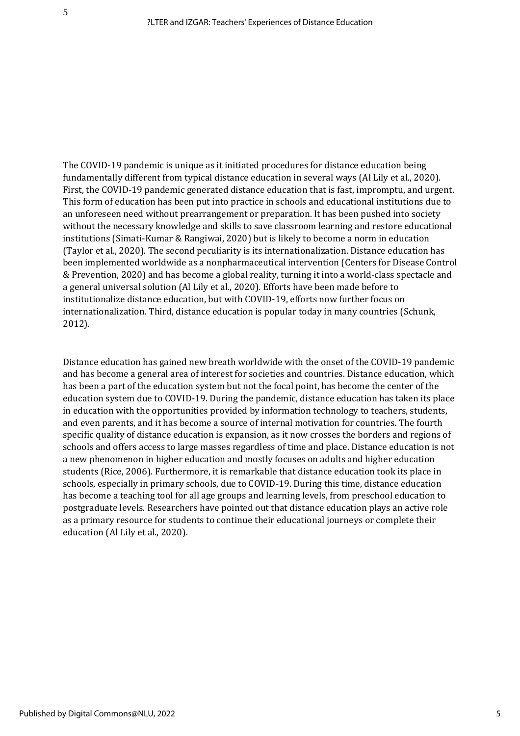The COVID-19 pandemic is unique as it initiated procedures for distance education being fundamentally different from typical distance education in several ways (Al Lily et al., 2020). First, the COVID-19 pandemic generated distance education that is fast, impromptu, and urgent. This form of education has been put into practice in schools and educational institutions due to an unforeseen need without prearrangement or preparation. It has been pushed into society without the necessary knowledge and skills to save classroom learning and restore educational institutions (Simati-Kumar & Rangiwai, 2020) but is likely to become a norm in education (Taylor et al., 2020). The second peculiarity is its internationalization. Distance education has been implemented worldwide as a nonpharmaceutical intervention (Centers for Disease Control & Prevention, 2020) and has become a global reality, turning it into a world-class spectacle and a general universal solution (Al Lily et al., 2020). Efforts have been made before to institutionalize distance education, but with COVID-19, efforts now further focus on internationalization. Third, distance education is popular today in many countries (Schunk, 2012).

Distance education has gained new breath worldwide with the onset of the COVID-19 pandemic and has become a general area of interest for societies and countries. Distance education, which has been a part of the education system but not the focal point, has become the center of the education system due to COVID-19. During the pandemic, distance education has taken its place in education with the opportunities provided by information technology to teachers, students, and even parents, and it has become a source of internal motivation for countries. The fourth specific quality of distance education is expansion, as it now crosses the borders and regions of schools and offers access to large masses regardless of time and place. Distance education is not a new phenomenon in higher education and mostly focuses on adults and higher education students (Rice, 2006). Furthermore, it is remarkable that distance education took its place in schools, especially in primary schools, due to COVID-19. During this time, distance education has become a teaching tool for all age groups and learning levels, from preschool education to postgraduate levels. Researchers have pointed out that distance education plays an active role as a primary resource for students to continue their educational journeys or complete their education (Al Lily et al., 2020).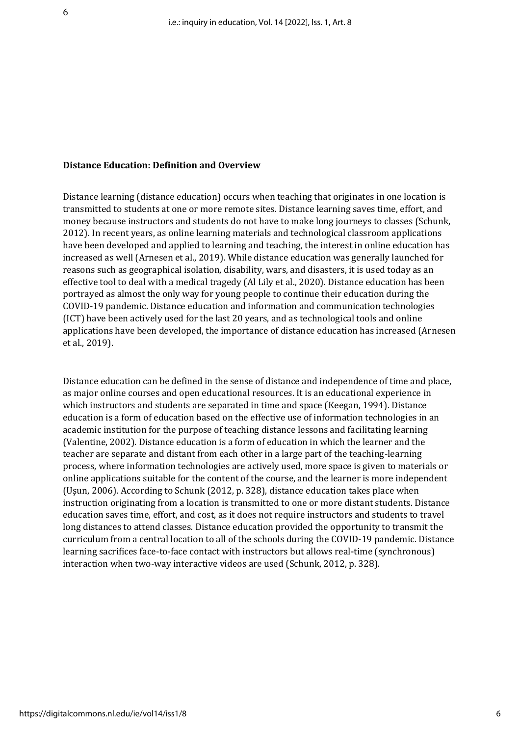#### **Distance Education: Definition and Overview**

6

Distance learning (distance education) occurs when teaching that originates in one location is transmitted to students at one or more remote sites. Distance learning saves time, effort, and money because instructors and students do not have to make long journeys to classes (Schunk, 2012). In recent years, as online learning materials and technological classroom applications have been developed and applied to learning and teaching, the interest in online education has increased as well (Arnesen et al., 2019). While distance education was generally launched for reasons such as geographical isolation, disability, wars, and disasters, it is used today as an effective tool to deal with a medical tragedy (Al Lily et al., 2020). Distance education has been portrayed as almost the only way for young people to continue their education during the COVID-19 pandemic. Distance education and information and communication technologies (ICT) have been actively used for the last 20 years, and as technological tools and online applications have been developed, the importance of distance education has increased (Arnesen et al., 2019).

Distance education can be defined in the sense of distance and independence of time and place, as major online courses and open educational resources. It is an educational experience in which instructors and students are separated in time and space (Keegan, 1994). Distance education is a form of education based on the effective use of information technologies in an academic institution for the purpose of teaching distance lessons and facilitating learning (Valentine, 2002). Distance education is a form of education in which the learner and the teacher are separate and distant from each other in a large part of the teaching-learning process, where information technologies are actively used, more space is given to materials or online applications suitable for the content of the course, and the learner is more independent (Uşun, 2006). According to Schunk (2012, p. 328), distance education takes place when instruction originating from a location is transmitted to one or more distant students. Distance education saves time, effort, and cost, as it does not require instructors and students to travel long distances to attend classes. Distance education provided the opportunity to transmit the curriculum from a central location to all of the schools during the COVID-19 pandemic. Distance learning sacrifices face-to-face contact with instructors but allows real-time (synchronous) interaction when two-way interactive videos are used (Schunk, 2012, p. 328).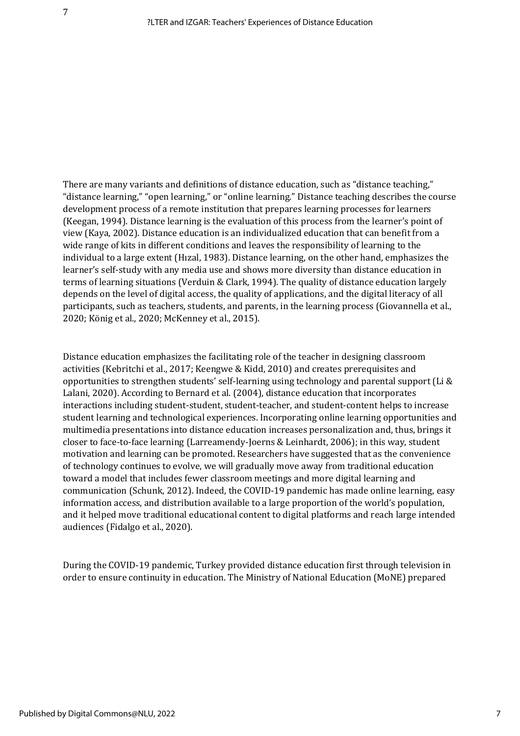There are many variants and definitions of distance education, such as "distance teaching," "distance learning," "open learning," or "online learning." Distance teaching describes the course development process of a remote institution that prepares learning processes for learners (Keegan, 1994). Distance learning is the evaluation of this process from the learner's point of view (Kaya, 2002). Distance education is an individualized education that can benefit from a wide range of kits in different conditions and leaves the responsibility of learning to the individual to a large extent (Hızal, 1983). Distance learning, on the other hand, emphasizes the learner's self-study with any media use and shows more diversity than distance education in terms of learning situations (Verduin & Clark, 1994). The quality of distance education largely depends on the level of digital access, the quality of applications, and the digital literacy of all participants, such as teachers, students, and parents, in the learning process (Giovannella et al., 2020; König et al., 2020; McKenney et al., 2015).

Distance education emphasizes the facilitating role of the teacher in designing classroom activities (Kebritchi et al., 2017; Keengwe & Kidd, 2010) and creates prerequisites and opportunities to strengthen students' self-learning using technology and parental support (Li & Lalani, 2020). According to Bernard et al. (2004), distance education that incorporates interactions including student-student, student-teacher, and student-content helps to increase student learning and technological experiences. Incorporating online learning opportunities and multimedia presentations into distance education increases personalization and, thus, brings it closer to face-to-face learning (Larreamendy-Joerns & Leinhardt, 2006); in this way, student motivation and learning can be promoted. Researchers have suggested that as the convenience of technology continues to evolve, we will gradually move away from traditional education toward a model that includes fewer classroom meetings and more digital learning and communication (Schunk, 2012). Indeed, the COVID-19 pandemic has made online learning, easy information access, and distribution available to a large proportion of the world's population, and it helped move traditional educational content to digital platforms and reach large intended audiences (Fidalgo et al., 2020).

During the COVID-19 pandemic, Turkey provided distance education first through television in order to ensure continuity in education. The Ministry of National Education (MoNE) prepared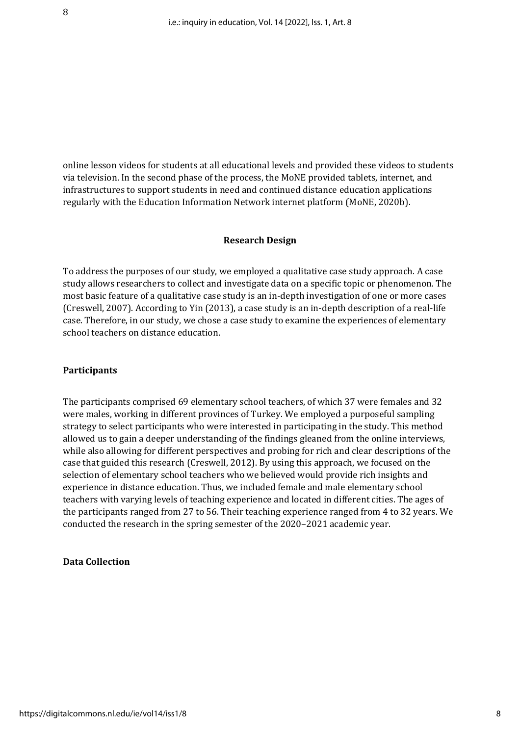online lesson videos for students at all educational levels and provided these videos to students via television. In the second phase of the process, the MoNE provided tablets, internet, and infrastructures to support students in need and continued distance education applications regularly with the Education Information Network internet platform (MoNE, 2020b).

#### **Research Design**

To address the purposes of our study, we employed a qualitative case study approach. A case study allows researchers to collect and investigate data on a specific topic or phenomenon. The most basic feature of a qualitative case study is an in-depth investigation of one or more cases (Creswell, 2007). According to Yin (2013), a case study is an in-depth description of a real-life case. Therefore, in our study, we chose a case study to examine the experiences of elementary school teachers on distance education.

### **Participants**

The participants comprised 69 elementary school teachers, of which 37 were females and 32 were males, working in different provinces of Turkey. We employed a purposeful sampling strategy to select participants who were interested in participating in the study. This method allowed us to gain a deeper understanding of the findings gleaned from the online interviews, while also allowing for different perspectives and probing for rich and clear descriptions of the case that guided this research (Creswell, 2012). By using this approach, we focused on the selection of elementary school teachers who we believed would provide rich insights and experience in distance education. Thus, we included female and male elementary school teachers with varying levels of teaching experience and located in different cities. The ages of the participants ranged from 27 to 56. Their teaching experience ranged from 4 to 32 years. We conducted the research in the spring semester of the 2020–2021 academic year.

#### **Data Collection**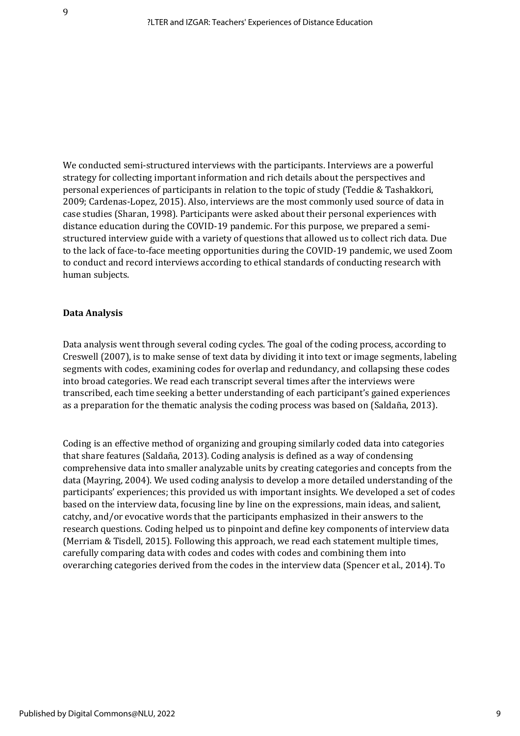We conducted semi-structured interviews with the participants. Interviews are a powerful strategy for collecting important information and rich details about the perspectives and personal experiences of participants in relation to the topic of study (Teddie & Tashakkori, 2009; Cardenas-Lopez, 2015). Also, interviews are the most commonly used source of data in case studies (Sharan, 1998). Participants were asked about their personal experiences with distance education during the COVID-19 pandemic. For this purpose, we prepared a semistructured interview guide with a variety of questions that allowed us to collect rich data. Due to the lack of face-to-face meeting opportunities during the COVID-19 pandemic, we used Zoom to conduct and record interviews according to ethical standards of conducting research with human subjects.

# **Data Analysis**

Data analysis went through several coding cycles. The goal of the coding process, according to Creswell (2007), is to make sense of text data by dividing it into text or image segments, labeling segments with codes, examining codes for overlap and redundancy, and collapsing these codes into broad categories. We read each transcript several times after the interviews were transcribed, each time seeking a better understanding of each participant's gained experiences as a preparation for the thematic analysis the coding process was based on (Saldaña, 2013).

Coding is an effective method of organizing and grouping similarly coded data into categories that share features (Saldaña, 2013). Coding analysis is defined as a way of condensing comprehensive data into smaller analyzable units by creating categories and concepts from the data (Mayring, 2004). We used coding analysis to develop a more detailed understanding of the participants' experiences; this provided us with important insights. We developed a set of codes based on the interview data, focusing line by line on the expressions, main ideas, and salient, catchy, and/or evocative words that the participants emphasized in their answers to the research questions. Coding helped us to pinpoint and define key components of interview data (Merriam & Tisdell, 2015). Following this approach, we read each statement multiple times, carefully comparing data with codes and codes with codes and combining them into overarching categories derived from the codes in the interview data (Spencer et al., 2014). To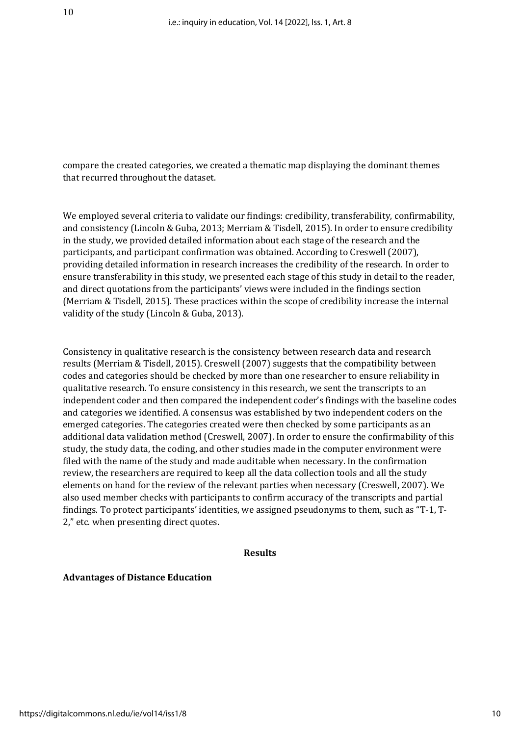compare the created categories, we created a thematic map displaying the dominant themes that recurred throughout the dataset.

We employed several criteria to validate our findings: credibility, transferability, confirmability, and consistency (Lincoln & Guba, 2013; Merriam & Tisdell, 2015). In order to ensure credibility in the study, we provided detailed information about each stage of the research and the participants, and participant confirmation was obtained. According to Creswell (2007), providing detailed information in research increases the credibility of the research. In order to ensure transferability in this study, we presented each stage of this study in detail to the reader, and direct quotations from the participants' views were included in the findings section (Merriam & Tisdell, 2015). These practices within the scope of credibility increase the internal validity of the study (Lincoln & Guba, 2013).

Consistency in qualitative research is the consistency between research data and research results (Merriam & Tisdell, 2015). Creswell (2007) suggests that the compatibility between codes and categories should be checked by more than one researcher to ensure reliability in qualitative research. To ensure consistency in this research, we sent the transcripts to an independent coder and then compared the independent coder's findings with the baseline codes and categories we identified. A consensus was established by two independent coders on the emerged categories. The categories created were then checked by some participants as an additional data validation method (Creswell, 2007). In order to ensure the confirmability of this study, the study data, the coding, and other studies made in the computer environment were filed with the name of the study and made auditable when necessary. In the confirmation review, the researchers are required to keep all the data collection tools and all the study elements on hand for the review of the relevant parties when necessary (Creswell, 2007). We also used member checks with participants to confirm accuracy of the transcripts and partial findings. To protect participants' identities, we assigned pseudonyms to them, such as "T-1, T-2," etc. when presenting direct quotes.

#### **Results**

#### **Advantages of Distance Education**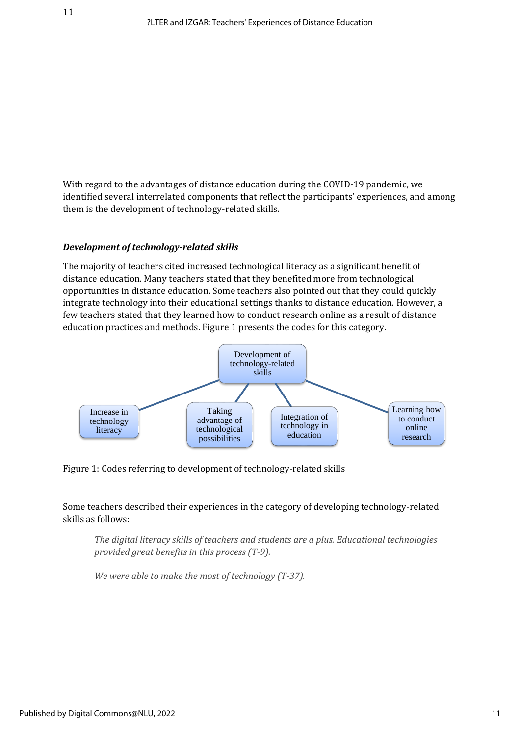With regard to the advantages of distance education during the COVID-19 pandemic, we identified several interrelated components that reflect the participants' experiences, and among them is the development of technology-related skills.

# *Development of technology-related skills*

The majority of teachers cited increased technological literacy as a significant benefit of distance education. Many teachers stated that they benefited more from technological opportunities in distance education. Some teachers also pointed out that they could quickly integrate technology into their educational settings thanks to distance education. However, a few teachers stated that they learned how to conduct research online as a result of distance education practices and methods. Figure 1 presents the codes for this category.



Figure 1: Codes referring to development of technology-related skills

# Some teachers described their experiences in the category of developing technology-related skills as follows:

*The digital literacy skills of teachers and students are a plus. Educational technologies provided great benefits in this process (T-9).*

*We were able to make the most of technology (T-37).*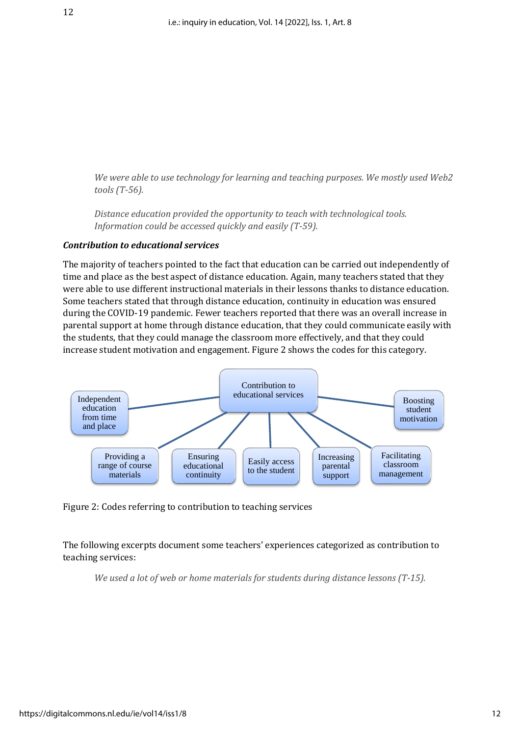*We were able to use technology for learning and teaching purposes. We mostly used Web2 tools (T-56).*

*Distance education provided the opportunity to teach with technological tools. Information could be accessed quickly and easily (T-59).*

# *Contribution to educational services*

The majority of teachers pointed to the fact that education can be carried out independently of time and place as the best aspect of distance education. Again, many teachers stated that they were able to use different instructional materials in their lessons thanks to distance education. Some teachers stated that through distance education, continuity in education was ensured during the COVID-19 pandemic. Fewer teachers reported that there was an overall increase in parental support at home through distance education, that they could communicate easily with the students, that they could manage the classroom more effectively, and that they could increase student motivation and engagement. Figure 2 shows the codes for this category.



Figure 2: Codes referring to contribution to teaching services

The following excerpts document some teachers' experiences categorized as contribution to teaching services:

*We used a lot of web or home materials for students during distance lessons (T-15).*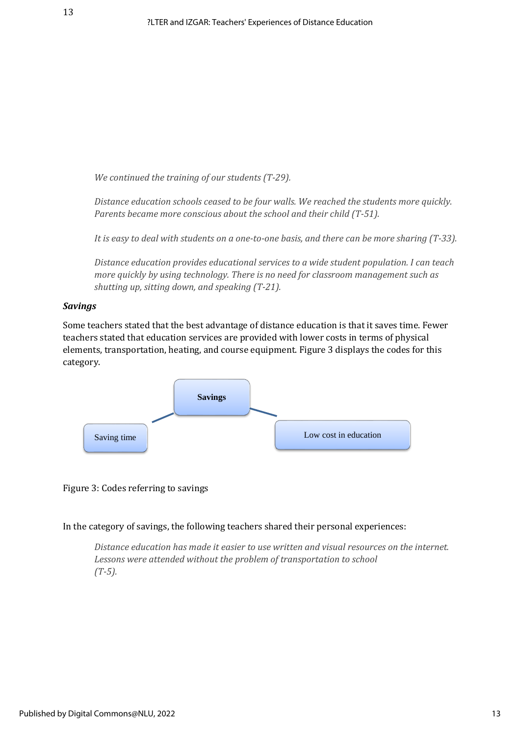*We continued the training of our students (T-29).*

*Distance education schools ceased to be four walls. We reached the students more quickly. Parents became more conscious about the school and their child (T-51).*

*It is easy to deal with students on a one-to-one basis, and there can be more sharing (T-33).*

*Distance education provides educational services to a wide student population. I can teach more quickly by using technology. There is no need for classroom management such as shutting up, sitting down, and speaking (T-21).*

#### *Savings*

Some teachers stated that the best advantage of distance education is that it saves time. Fewer teachers stated that education services are provided with lower costs in terms of physical elements, transportation, heating, and course equipment. Figure 3 displays the codes for this category.



#### Figure 3: Codes referring to savings

In the category of savings, the following teachers shared their personal experiences:

*Distance education has made it easier to use written and visual resources on the internet. Lessons were attended without the problem of transportation to school (T-5).*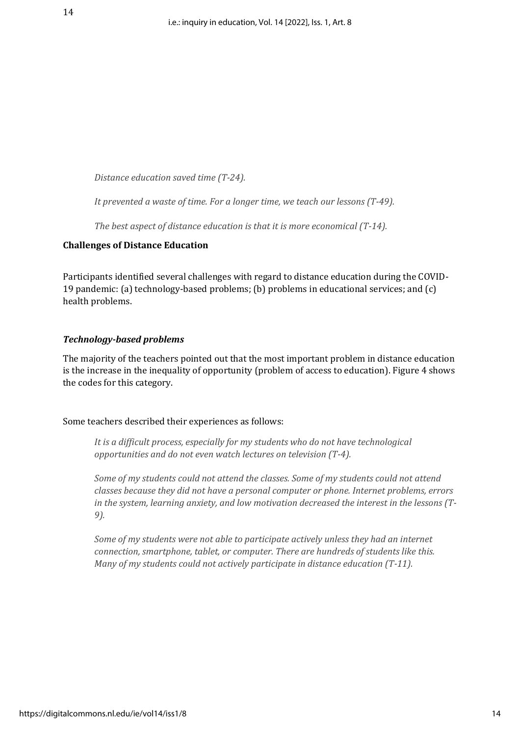*Distance education saved time (T-24).*

*It prevented a waste of time. For a longer time, we teach our lessons (T-49).*

*The best aspect of distance education is that it is more economical (T-14).*

# **Challenges of Distance Education**

Participants identified several challenges with regard to distance education during the COVID-19 pandemic: (a) technology-based problems; (b) problems in educational services; and (c) health problems.

# *Technology-based problems*

The majority of the teachers pointed out that the most important problem in distance education is the increase in the inequality of opportunity (problem of access to education). Figure 4 shows the codes for this category.

#### Some teachers described their experiences as follows:

*It is a difficult process, especially for my students who do not have technological opportunities and do not even watch lectures on television (T-4).*

*Some of my students could not attend the classes. Some of my students could not attend classes because they did not have a personal computer or phone. Internet problems, errors in the system, learning anxiety, and low motivation decreased the interest in the lessons (T-9).*

*Some of my students were not able to participate actively unless they had an internet connection, smartphone, tablet, or computer. There are hundreds of students like this. Many of my students could not actively participate in distance education (T-11).*

14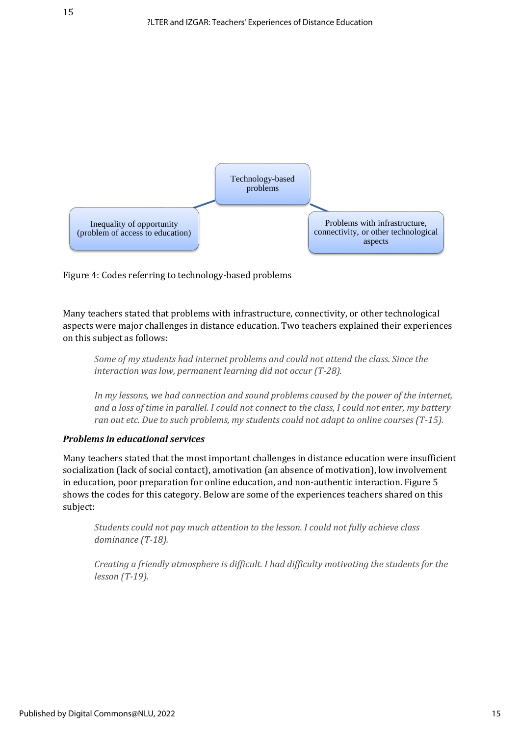

Figure 4: Codes referring to technology-based problems

Many teachers stated that problems with infrastructure, connectivity, or other technological aspects were major challenges in distance education. Two teachers explained their experiences on this subject as follows:

*Some of my students had internet problems and could not attend the class. Since the interaction was low, permanent learning did not occur (T-28).*

*In my lessons, we had connection and sound problems caused by the power of the internet, and a loss of time in parallel. I could not connect to the class, I could not enter, my battery ran out etc. Due to such problems, my students could not adapt to online courses (T-15).*

#### *Problems in educational services*

Many teachers stated that the most important challenges in distance education were insufficient socialization (lack of social contact), amotivation (an absence of motivation), low involvement in education, poor preparation for online education, and non-authentic interaction. Figure 5 shows the codes for this category. Below are some of the experiences teachers shared on this subject:

*Students could not pay much attention to the lesson. I could not fully achieve class dominance (T-18).*

*Creating a friendly atmosphere is difficult. I had difficulty motivating the students for the lesson (T-19).*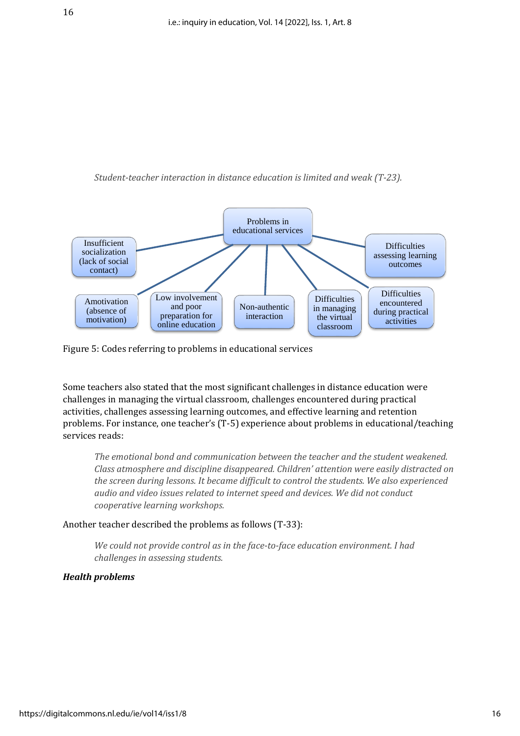



Figure 5: Codes referring to problems in educational services

Some teachers also stated that the most significant challenges in distance education were challenges in managing the virtual classroom, challenges encountered during practical activities, challenges assessing learning outcomes, and effective learning and retention problems. For instance, one teacher's (T-5) experience about problems in educational/teaching services reads:

*The emotional bond and communication between the teacher and the student weakened. Class atmosphere and discipline disappeared. Children' attention were easily distracted on the screen during lessons. It became difficult to control the students. We also experienced audio and video issues related to internet speed and devices. We did not conduct cooperative learning workshops.* 

Another teacher described the problems as follows (T-33):

*We could not provide control as in the face-to-face education environment. I had challenges in assessing students.*

# *Health problems*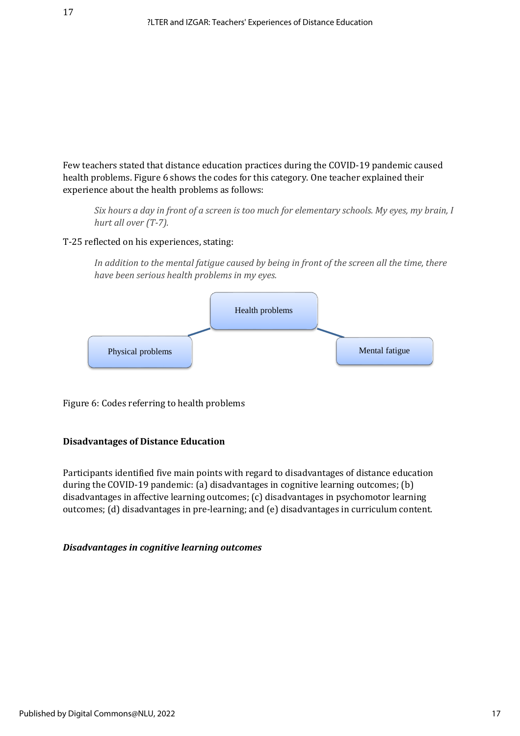Few teachers stated that distance education practices during the COVID-19 pandemic caused health problems. Figure 6 shows the codes for this category. One teacher explained their experience about the health problems as follows:

*Six hours a day in front of a screen is too much for elementary schools. My eyes, my brain, I hurt all over (T-7).*

# T-25 reflected on his experiences, stating:

*In addition to the mental fatigue caused by being in front of the screen all the time, there have been serious health problems in my eyes.*



Figure 6: Codes referring to health problems

# **Disadvantages of Distance Education**

Participants identified five main points with regard to disadvantages of distance education during the COVID-19 pandemic: (a) disadvantages in cognitive learning outcomes; (b) disadvantages in affective learning outcomes; (c) disadvantages in psychomotor learning outcomes; (d) disadvantages in pre-learning; and (e) disadvantages in curriculum content.

#### *Disadvantages in cognitive learning outcomes*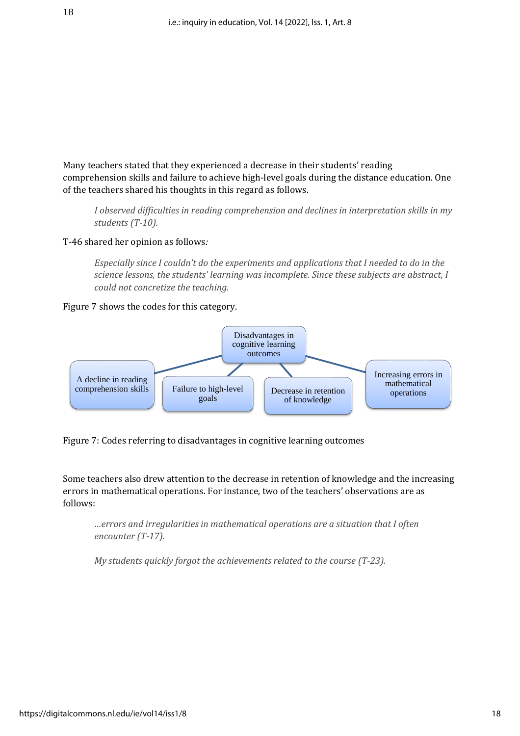Many teachers stated that they experienced a decrease in their students' reading comprehension skills and failure to achieve high-level goals during the distance education. One of the teachers shared his thoughts in this regard as follows.

*I* observed difficulties in reading comprehension and declines in interpretation skills in my *students (T-10).* 

T-46 shared her opinion as follows*:*

*Especially since I couldn't do the experiments and applications that I needed to do in the science lessons, the students' learning was incomplete. Since these subjects are abstract, I could not concretize the teaching.* 

Figure 7 shows the codes for this category.



Figure 7: Codes referring to disadvantages in cognitive learning outcomes

Some teachers also drew attention to the decrease in retention of knowledge and the increasing errors in mathematical operations. For instance, two of the teachers' observations are as follows:

*…errors and irregularities in mathematical operations are a situation that I often encounter (T-17).*

*My students quickly forgot the achievements related to the course (T-23).*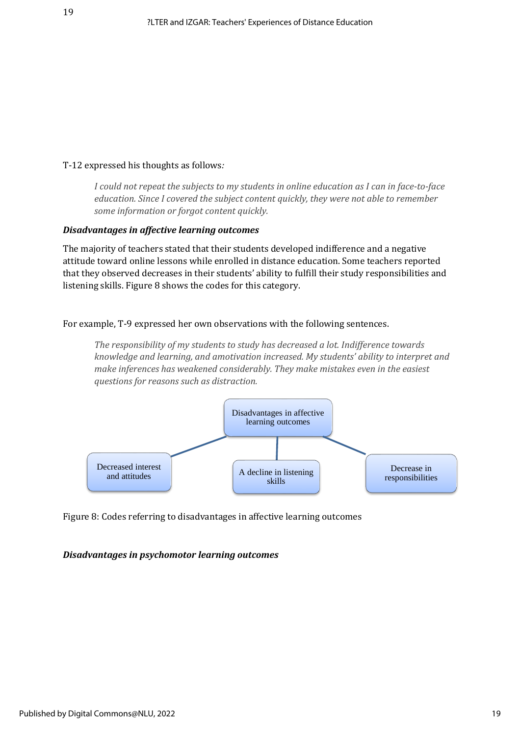# T-12 expressed his thoughts as follows*:*

*I could not repeat the subjects to my students in online education as I can in face-to-face education. Since I covered the subject content quickly, they were not able to remember some information or forgot content quickly.*

#### *Disadvantages in affective learning outcomes*

The majority of teachers stated that their students developed indifference and a negative attitude toward online lessons while enrolled in distance education. Some teachers reported that they observed decreases in their students' ability to fulfill their study responsibilities and listening skills. Figure 8 shows the codes for this category.

For example, T-9 expressed her own observations with the following sentences.

*The responsibility of my students to study has decreased a lot. Indifference towards knowledge and learning, and amotivation increased. My students' ability to interpret and make inferences has weakened considerably. They make mistakes even in the easiest questions for reasons such as distraction.*



Figure 8: Codes referring to disadvantages in affective learning outcomes

#### *Disadvantages in psychomotor learning outcomes*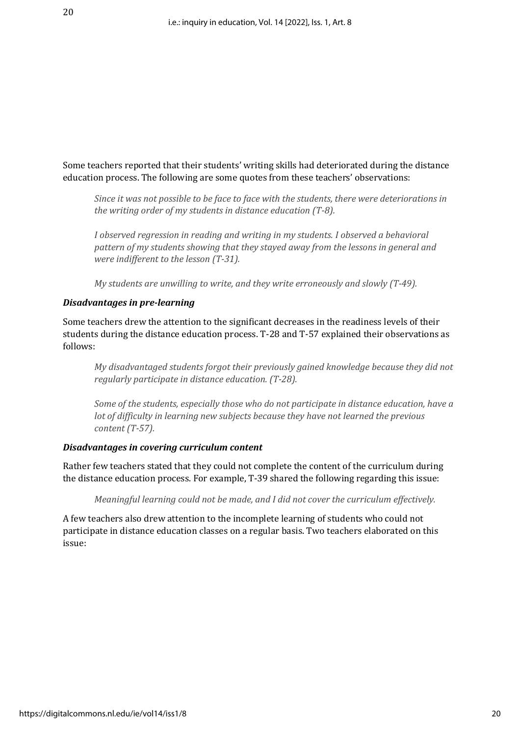Some teachers reported that their students' writing skills had deteriorated during the distance education process. The following are some quotes from these teachers' observations:

*Since it was not possible to be face to face with the students, there were deteriorations in the writing order of my students in distance education (T-8).* 

*I observed regression in reading and writing in my students. I observed a behavioral pattern of my students showing that they stayed away from the lessons in general and were indifferent to the lesson (T-31).* 

*My students are unwilling to write, and they write erroneously and slowly (T-49).* 

#### *Disadvantages in pre-learning*

Some teachers drew the attention to the significant decreases in the readiness levels of their students during the distance education process. T-28 and T-57 explained their observations as follows:

*My disadvantaged students forgot their previously gained knowledge because they did not regularly participate in distance education. (T-28).* 

*Some of the students, especially those who do not participate in distance education, have a lot of difficulty in learning new subjects because they have not learned the previous content (T-57).* 

# *Disadvantages in covering curriculum content*

Rather few teachers stated that they could not complete the content of the curriculum during the distance education process. For example, T-39 shared the following regarding this issue:

*Meaningful learning could not be made, and I did not cover the curriculum effectively.*

A few teachers also drew attention to the incomplete learning of students who could not participate in distance education classes on a regular basis. Two teachers elaborated on this issue: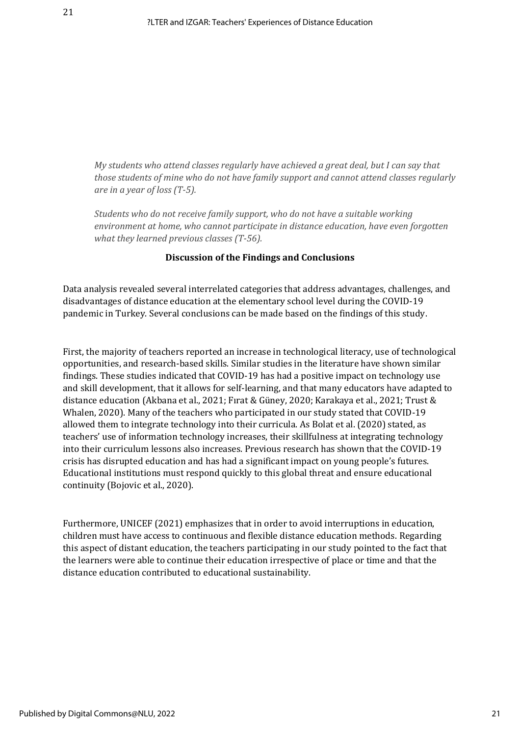*My students who attend classes regularly have achieved a great deal, but I can say that those students of mine who do not have family support and cannot attend classes regularly are in a year of loss (T-5).* 

*Students who do not receive family support, who do not have a suitable working environment at home, who cannot participate in distance education, have even forgotten what they learned previous classes (T-56).*

#### **Discussion of the Findings and Conclusions**

Data analysis revealed several interrelated categories that address advantages, challenges, and disadvantages of distance education at the elementary school level during the COVID-19 pandemic in Turkey. Several conclusions can be made based on the findings of this study.

First, the majority of teachers reported an increase in technological literacy, use of technological opportunities, and research-based skills. Similar studies in the literature have shown similar findings. These studies indicated that COVID-19 has had a positive impact on technology use and skill development, that it allows for self-learning, and that many educators have adapted to distance education (Akbana et al., 2021; Fırat & Güney, 2020; Karakaya et al., 2021; Trust & Whalen, 2020). Many of the teachers who participated in our study stated that COVID-19 allowed them to integrate technology into their curricula. As Bolat et al. (2020) stated, as teachers' use of information technology increases, their skillfulness at integrating technology into their curriculum lessons also increases. Previous research has shown that the COVID-19 crisis has disrupted education and has had a significant impact on young people's futures. Educational institutions must respond quickly to this global threat and ensure educational continuity (Bojovic et al., 2020).

Furthermore, UNICEF (2021) emphasizes that in order to avoid interruptions in education, children must have access to continuous and flexible distance education methods. Regarding this aspect of distant education, the teachers participating in our study pointed to the fact that the learners were able to continue their education irrespective of place or time and that the distance education contributed to educational sustainability.

21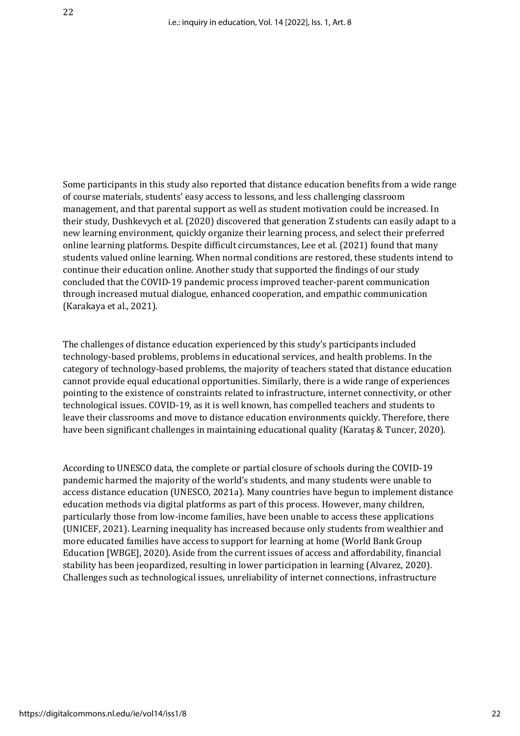Some participants in this study also reported that distance education benefits from a wide range of course materials, students' easy access to lessons, and less challenging classroom management, and that parental support as well as student motivation could be increased. In their study, Dushkevych et al. (2020) discovered that generation Z students can easily adapt to a new learning environment, quickly organize their learning process, and select their preferred online learning platforms. Despite difficult circumstances, Lee et al. (2021) found that many students valued online learning. When normal conditions are restored, these students intend to continue their education online. Another study that supported the findings of our study concluded that the COVID-19 pandemic process improved teacher-parent communication through increased mutual dialogue, enhanced cooperation, and empathic communication (Karakaya et al., 2021).

The challenges of distance education experienced by this study's participants included technology-based problems, problems in educational services, and health problems. In the category of technology-based problems, the majority of teachers stated that distance education cannot provide equal educational opportunities. Similarly, there is a wide range of experiences pointing to the existence of constraints related to infrastructure, internet connectivity, or other technological issues. COVID-19, as it is well known, has compelled teachers and students to leave their classrooms and move to distance education environments quickly. Therefore, there have been significant challenges in maintaining educational quality (Karataş & Tuncer, 2020).

According to UNESCO data, the complete or partial closure of schools during the COVID-19 pandemic harmed the majority of the world's students, and many students were unable to access distance education (UNESCO, 2021a). Many countries have begun to implement distance education methods via digital platforms as part of this process. However, many children, particularly those from low-income families, have been unable to access these applications (UNICEF, 2021). Learning inequality has increased because only students from wealthier and more educated families have access to support for learning at home (World Bank Group Education [WBGE], 2020). Aside from the current issues of access and affordability, financial stability has been jeopardized, resulting in lower participation in learning (Alvarez, 2020). Challenges such as technological issues, unreliability of internet connections, infrastructure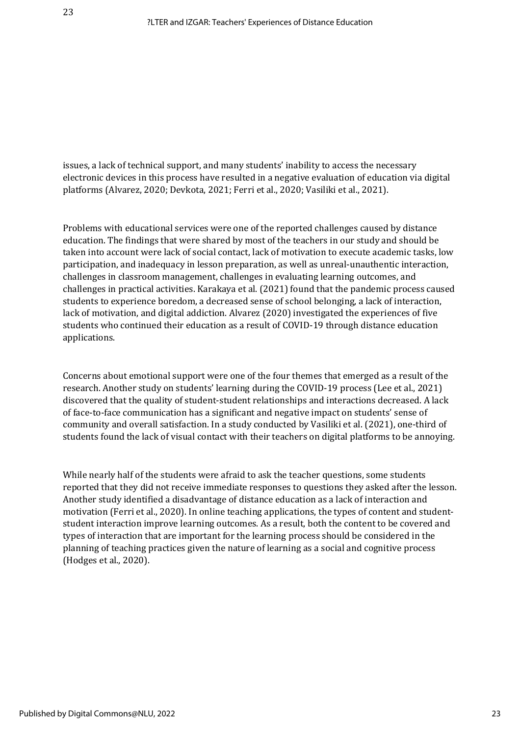issues, a lack of technical support, and many students' inability to access the necessary electronic devices in this process have resulted in a negative evaluation of education via digital platforms (Alvarez, 2020; Devkota, 2021; Ferri et al., 2020; Vasiliki et al., 2021).

Problems with educational services were one of the reported challenges caused by distance education. The findings that were shared by most of the teachers in our study and should be taken into account were lack of social contact, lack of motivation to execute academic tasks, low participation, and inadequacy in lesson preparation, as well as unreal-unauthentic interaction, challenges in classroom management, challenges in evaluating learning outcomes, and challenges in practical activities. Karakaya et al. (2021) found that the pandemic process caused students to experience boredom, a decreased sense of school belonging, a lack of interaction, lack of motivation, and digital addiction. Alvarez (2020) investigated the experiences of five students who continued their education as a result of COVID-19 through distance education applications.

Concerns about emotional support were one of the four themes that emerged as a result of the research. Another study on students' learning during the COVID-19 process (Lee et al., 2021) discovered that the quality of student-student relationships and interactions decreased. A lack of face-to-face communication has a significant and negative impact on students' sense of community and overall satisfaction. In a study conducted by Vasiliki et al. (2021), one-third of students found the lack of visual contact with their teachers on digital platforms to be annoying.

While nearly half of the students were afraid to ask the teacher questions, some students reported that they did not receive immediate responses to questions they asked after the lesson. Another study identified a disadvantage of distance education as a lack of interaction and motivation (Ferri et al., 2020). In online teaching applications, the types of content and studentstudent interaction improve learning outcomes. As a result, both the content to be covered and types of interaction that are important for the learning process should be considered in the planning of teaching practices given the nature of learning as a social and cognitive process (Hodges et al., 2020).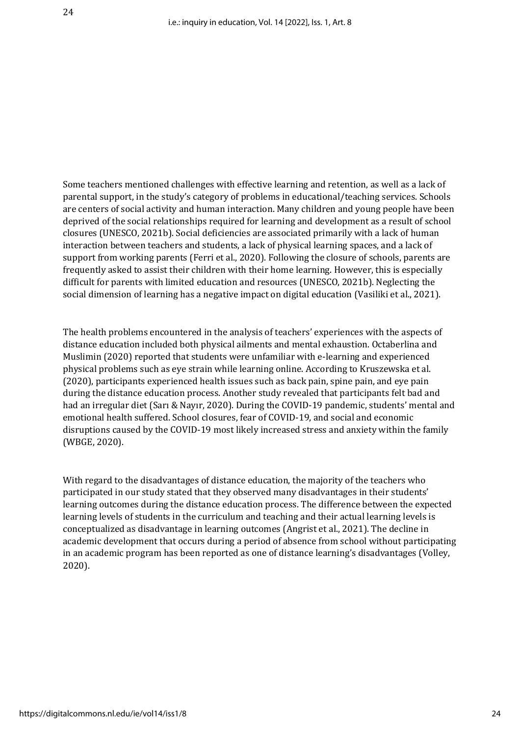Some teachers mentioned challenges with effective learning and retention, as well as a lack of parental support, in the study's category of problems in educational/teaching services. Schools are centers of social activity and human interaction. Many children and young people have been deprived of the social relationships required for learning and development as a result of school closures (UNESCO, 2021b). Social deficiencies are associated primarily with a lack of human interaction between teachers and students, a lack of physical learning spaces, and a lack of support from working parents (Ferri et al., 2020). Following the closure of schools, parents are frequently asked to assist their children with their home learning. However, this is especially difficult for parents with limited education and resources (UNESCO, 2021b). Neglecting the social dimension of learning has a negative impact on digital education (Vasiliki et al., 2021).

The health problems encountered in the analysis of teachers' experiences with the aspects of distance education included both physical ailments and mental exhaustion. Octaberlina and Muslimin (2020) reported that students were unfamiliar with e-learning and experienced physical problems such as eye strain while learning online. According to Kruszewska et al. (2020), participants experienced health issues such as back pain, spine pain, and eye pain during the distance education process. Another study revealed that participants felt bad and had an irregular diet (Sarı & Nayır, 2020). During the COVID-19 pandemic, students' mental and emotional health suffered. School closures, fear of COVID-19, and social and economic disruptions caused by the COVID-19 most likely increased stress and anxiety within the family (WBGE, 2020).

With regard to the disadvantages of distance education, the majority of the teachers who participated in our study stated that they observed many disadvantages in their students' learning outcomes during the distance education process. The difference between the expected learning levels of students in the curriculum and teaching and their actual learning levels is conceptualized as disadvantage in learning outcomes (Angrist et al., 2021). The decline in academic development that occurs during a period of absence from school without participating in an academic program has been reported as one of distance learning's disadvantages (Volley, 2020).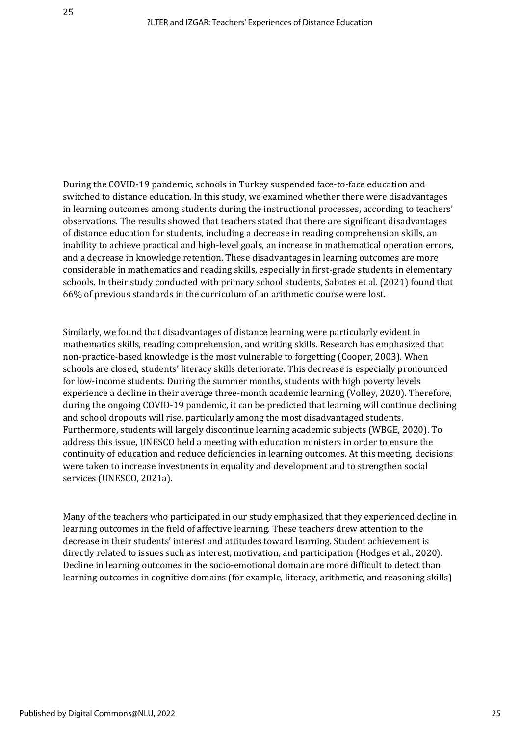During the COVID-19 pandemic, schools in Turkey suspended face-to-face education and switched to distance education. In this study, we examined whether there were disadvantages in learning outcomes among students during the instructional processes, according to teachers' observations. The results showed that teachers stated that there are significant disadvantages of distance education for students, including a decrease in reading comprehension skills, an inability to achieve practical and high-level goals, an increase in mathematical operation errors, and a decrease in knowledge retention. These disadvantages in learning outcomes are more considerable in mathematics and reading skills, especially in first-grade students in elementary schools. In their study conducted with primary school students, Sabates et al. (2021) found that 66% of previous standards in the curriculum of an arithmetic course were lost.

Similarly, we found that disadvantages of distance learning were particularly evident in mathematics skills, reading comprehension, and writing skills. Research has emphasized that non-practice-based knowledge is the most vulnerable to forgetting (Cooper, 2003). When schools are closed, students' literacy skills deteriorate. This decrease is especially pronounced for low-income students. During the summer months, students with high poverty levels experience a decline in their average three-month academic learning (Volley, 2020). Therefore, during the ongoing COVID-19 pandemic, it can be predicted that learning will continue declining and school dropouts will rise, particularly among the most disadvantaged students. Furthermore, students will largely discontinue learning academic subjects (WBGE, 2020). To address this issue, UNESCO held a meeting with education ministers in order to ensure the continuity of education and reduce deficiencies in learning outcomes. At this meeting, decisions were taken to increase investments in equality and development and to strengthen social services (UNESCO, 2021a).

Many of the teachers who participated in our study emphasized that they experienced decline in learning outcomes in the field of affective learning. These teachers drew attention to the decrease in their students' interest and attitudes toward learning. Student achievement is directly related to issues such as interest, motivation, and participation (Hodges et al., 2020). Decline in learning outcomes in the socio-emotional domain are more difficult to detect than learning outcomes in cognitive domains (for example, literacy, arithmetic, and reasoning skills)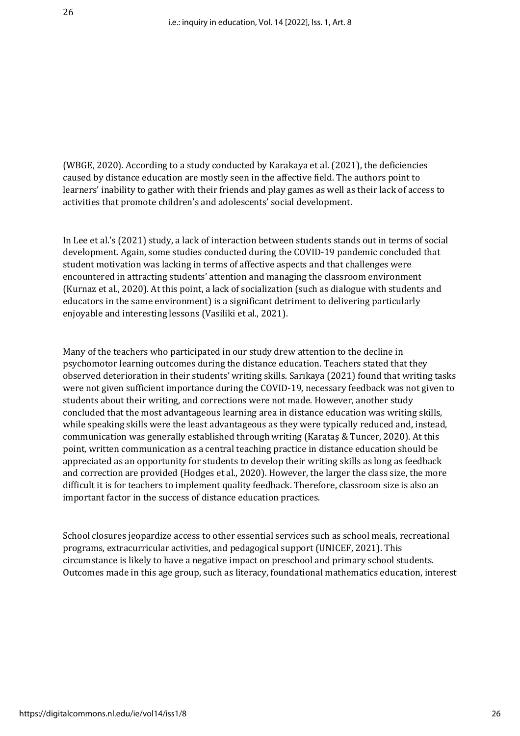(WBGE, 2020). According to a study conducted by Karakaya et al. (2021), the deficiencies caused by distance education are mostly seen in the affective field. The authors point to learners' inability to gather with their friends and play games as well as their lack of access to activities that promote children's and adolescents' social development.

In Lee et al.'s (2021) study, a lack of interaction between students stands out in terms of social development. Again, some studies conducted during the COVID-19 pandemic concluded that student motivation was lacking in terms of affective aspects and that challenges were encountered in attracting students' attention and managing the classroom environment (Kurnaz et al., 2020). At this point, a lack of socialization (such as dialogue with students and educators in the same environment) is a significant detriment to delivering particularly enjoyable and interesting lessons (Vasiliki et al., 2021).

Many of the teachers who participated in our study drew attention to the decline in psychomotor learning outcomes during the distance education. Teachers stated that they observed deterioration in their students' writing skills. Sarıkaya (2021) found that writing tasks were not given sufficient importance during the COVID-19, necessary feedback was not given to students about their writing, and corrections were not made. However, another study concluded that the most advantageous learning area in distance education was writing skills, while speaking skills were the least advantageous as they were typically reduced and, instead, communication was generally established through writing (Karataş & Tuncer, 2020). At this point, written communication as a central teaching practice in distance education should be appreciated as an opportunity for students to develop their writing skills as long as feedback and correction are provided (Hodges et al., 2020). However, the larger the class size, the more difficult it is for teachers to implement quality feedback. Therefore, classroom size is also an important factor in the success of distance education practices.

School closures jeopardize access to other essential services such as school meals, recreational programs, extracurricular activities, and pedagogical support (UNICEF, 2021). This circumstance is likely to have a negative impact on preschool and primary school students. Outcomes made in this age group, such as literacy, foundational mathematics education, interest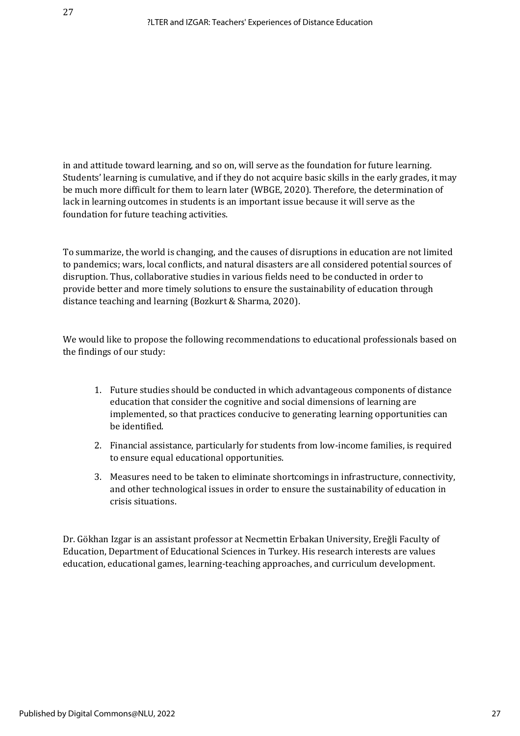in and attitude toward learning, and so on, will serve as the foundation for future learning. Students' learning is cumulative, and if they do not acquire basic skills in the early grades, it may be much more difficult for them to learn later (WBGE, 2020). Therefore, the determination of lack in learning outcomes in students is an important issue because it will serve as the foundation for future teaching activities.

To summarize, the world is changing, and the causes of disruptions in education are not limited to pandemics; wars, local conflicts, and natural disasters are all considered potential sources of disruption. Thus, collaborative studies in various fields need to be conducted in order to provide better and more timely solutions to ensure the sustainability of education through distance teaching and learning (Bozkurt & Sharma, 2020).

We would like to propose the following recommendations to educational professionals based on the findings of our study:

- 1. Future studies should be conducted in which advantageous components of distance education that consider the cognitive and social dimensions of learning are implemented, so that practices conducive to generating learning opportunities can be identified.
- 2. Financial assistance, particularly for students from low-income families, is required to ensure equal educational opportunities.
- 3. Measures need to be taken to eliminate shortcomings in infrastructure, connectivity, and other technological issues in order to ensure the sustainability of education in crisis situations.

Dr. Gökhan Izgar is an assistant professor at Necmettin Erbakan University, Ereğli Faculty of Education, Department of Educational Sciences in Turkey. His research interests are values education, educational games, learning-teaching approaches, and curriculum development.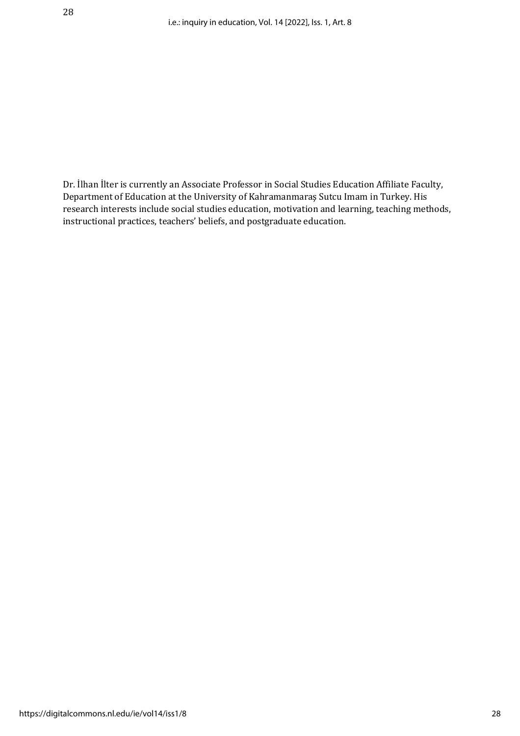Dr. İlhan İlter is currently an Associate Professor in Social Studies Education Affiliate Faculty, Department of Education at the University of Kahramanmaraş Sutcu Imam in Turkey. His research interests include social studies education, motivation and learning, teaching methods, instructional practices, teachers' beliefs, and postgraduate education.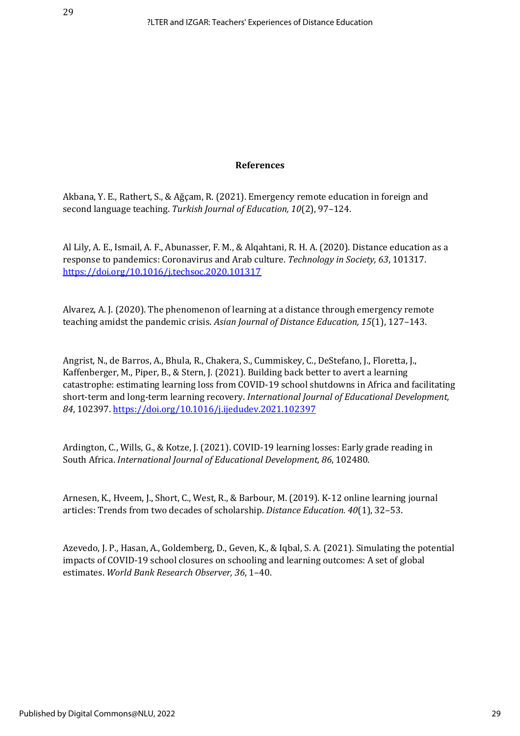#### **References**

Akbana, Y. E., Rathert, S., & Ağçam, R. (2021). Emergency remote education in foreign and second language teaching. *Turkish Journal of Education, 10*(2), 97–124.

Al Lily, A. E., Ismail, A. F., Abunasser, F. M., & Alqahtani, R. H. A. (2020). Distance education as a response to pandemics: Coronavirus and Arab culture. *Technology in Society, 63*, 101317. <https://doi.org/10.1016/j.techsoc.2020.101317>

Alvarez, A. J. (2020). The phenomenon of learning at a distance through emergency remote teaching amidst the pandemic crisis. *Asian Journal of Distance Education, 15*(1), 127–143.

Angrist, N., de Barros, A., Bhula, R., Chakera, S., Cummiskey, C., DeStefano, J., Floretta, J., Kaffenberger, M., Piper, B., & Stern, J. (2021). Building back better to avert a learning catastrophe: estimating learning loss from COVID-19 school shutdowns in Africa and facilitating short-term and long-term learning recovery. *International Journal of Educational Development, 84*, 102397[. https://doi.org/10.1016/j.ijedudev.2021.102397](https://doi.org/10.1016/j.ijedudev.2021.102397)

Ardington, C., Wills, G., & Kotze, J. (2021). COVID-19 learning losses: Early grade reading in South Africa. *International Journal of Educational Development, 86*, 102480.

Arnesen, K., Hveem, J., Short, C., West, R., & Barbour, M. (2019). K-12 online learning journal articles: Trends from two decades of scholarship. *Distance Education. 40*(1), 32–53.

Azevedo, J. P., Hasan, A., Goldemberg, D., Geven, K., & Iqbal, S. A. (2021). Simulating the potential impacts of COVID-19 school closures on schooling and learning outcomes: A set of global estimates. *World Bank Research Observer, 36*, 1–40.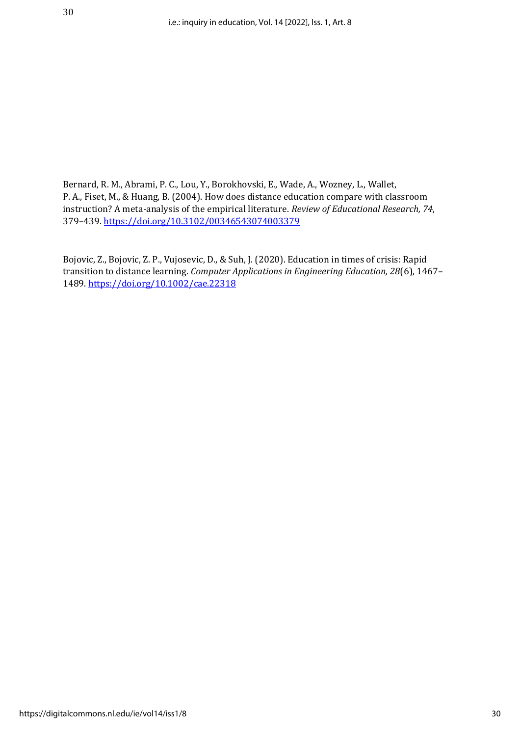Bernard, R. M., Abrami, P. C., Lou, Y., Borokhovski, E., Wade, A., Wozney, L., Wallet, P. A., Fiset, M., & Huang, B. (2004). How does distance education compare with classroom instruction? A meta-analysis of the empirical literature. *Review of Educational Research, 74*, 379–439[. https://doi.org/10.3102/00346543074003379](https://doi.org/10.3102/00346543074003379)

Bojovic, Z., Bojovic, Z. P., Vujosevic, D., & Suh, J. (2020). Education in times of crisis: Rapid transition to distance learning. *Computer Applications in Engineering Education, 28*(6), 1467– 1489.<https://doi.org/10.1002/cae.22318>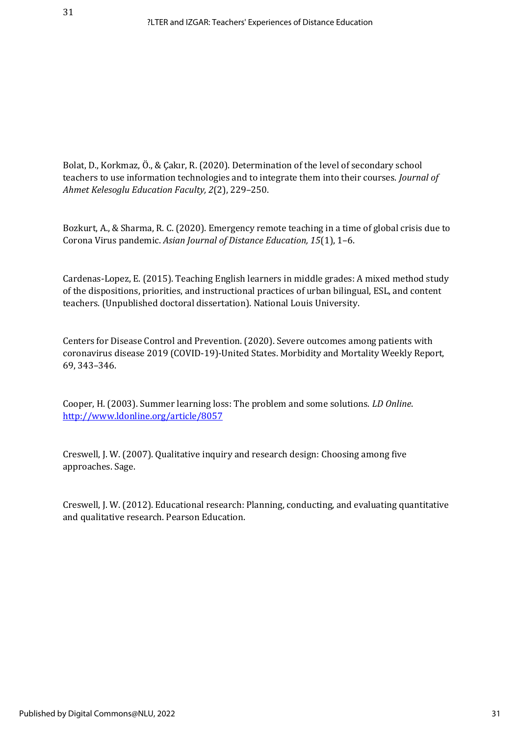Bolat, D., Korkmaz, Ö., & Çakır, R. (2020). Determination of the level of secondary school teachers to use information technologies and to integrate them into their courses. *Journal of Ahmet Kelesoglu Education Faculty, 2*(2), 229–250.

Bozkurt, A., & Sharma, R. C. (2020). Emergency remote teaching in a time of global crisis due to Corona Virus pandemic. *Asian Journal of Distance Education, 15*(1), 1–6.

Cardenas-Lopez, E. (2015). Teaching English learners in middle grades: A mixed method study of the dispositions, priorities, and instructional practices of urban bilingual, ESL, and content teachers. (Unpublished doctoral dissertation). National Louis University.

Centers for Disease Control and Prevention. (2020). Severe outcomes among patients with coronavirus disease 2019 (COVID-19)-United States. Morbidity and Mortality Weekly Report, 69, 343–346.

Cooper, H. (2003). Summer learning loss: The problem and some solutions. *LD Online*. <http://www.ldonline.org/article/8057>

Creswell, J. W. (2007). Qualitative inquiry and research design: Choosing among five approaches. Sage.

Creswell, J. W. (2012). Educational research: Planning, conducting, and evaluating quantitative and qualitative research. Pearson Education.

31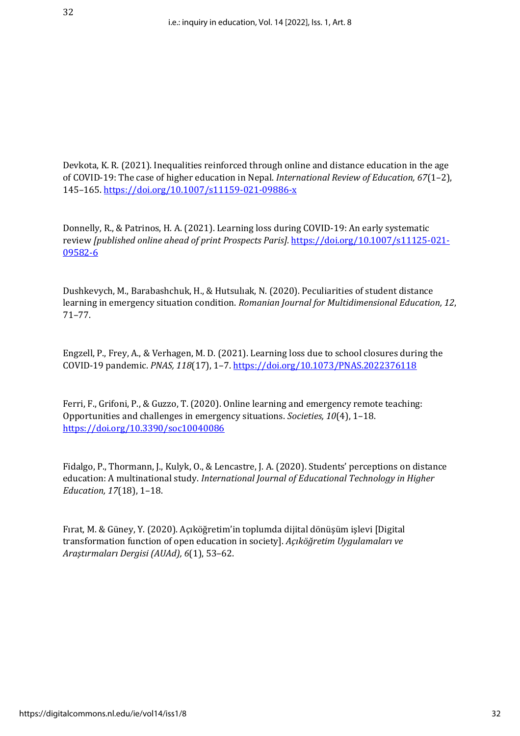Devkota, K. R. (2021). Inequalities reinforced through online and distance education in the age of COVID‑19: The case of higher education in Nepal. *International Review of Education, 67*(1–2), 145–165[. https://doi.org/10.1007/s11159-021-09886-x](https://doi.org/10.1007/s11159-021-09886-x)

Donnelly, R., & Patrinos, H. A. (2021). Learning loss during COVID-19: An early systematic review *[published online ahead of print Prospects Paris].* [https://doi.org/10.1007/s11125-021-](https://doi.org/10.1007/s11125-021-09582-6) [09582-6](https://doi.org/10.1007/s11125-021-09582-6)

Dushkevych, M., Barabashchuk, H., & Hutsulıak, N. (2020). Peculiarities of student distance learning in emergency situation condition. *Romanian Journal for Multidimensional Education, 12*, 71–77.

Engzell, P., Frey, A., & Verhagen, M. D. (2021). Learning loss due to school closures during the COVID-19 pandemic. *PNAS, 118*(17), 1–7. <https://doi.org/10.1073/PNAS.2022376118>

Ferri, F., Grifoni, P., & Guzzo, T. (2020). Online learning and emergency remote teaching: Opportunities and challenges in emergency situations. *Societies, 10*(4), 1–18. <https://doi.org/10.3390/soc10040086>

Fidalgo, P., Thormann, J., Kulyk, O., & Lencastre, J. A. (2020). Students' perceptions on distance education: A multinational study. *International Journal of Educational Technology in Higher Education, 17*(18), 1–18.

Fırat, M. & Güney, Y. (2020). Açıköğretim'in toplumda dijital dönüşüm işlevi [Digital transformation function of open education in society]. *Açıköğretim Uygulamaları ve Araştırmaları Dergisi (AUAd), 6*(1), 53–62.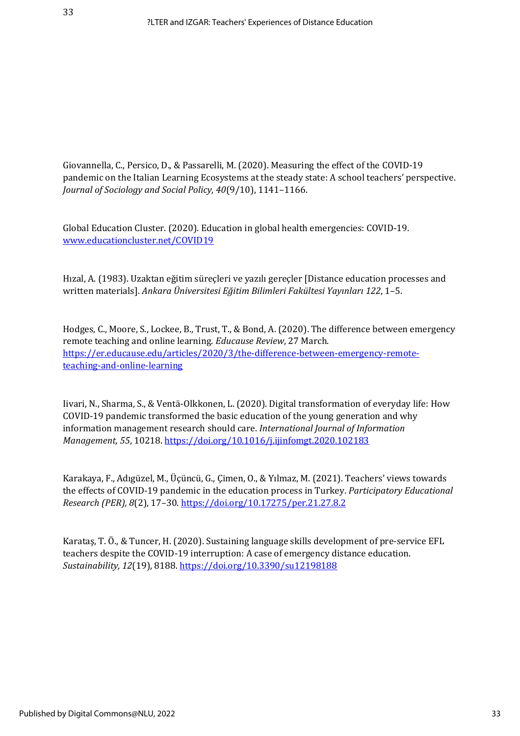Giovannella, C., Persico, D., & Passarelli, M. (2020). Measuring the effect of the COVID-19 pandemic on the Italian Learning Ecosystems at the steady state: A school teachers' perspective. *Journal of Sociology and Social Policy, 40*(9/10), 1141–1166.

Global Education Cluster. (2020). Education in global health emergencies: COVID-19. [www.educationcluster.net/COVID19](http://www.educationcluster.net/COVID19)

Hızal, A. (1983). Uzaktan eğitim süreçleri ve yazılı gereçler [Distance education processes and written materials]. *Ankara Üniversitesi Eğitim Bilimleri Fakültesi Yayınları 122*, 1–5.

Hodges, C., Moore, S., Lockee, B., Trust, T., & Bond, A. (2020). The difference between emergency remote teaching and online learning. *Educause Review*, 27 March. [https://er.educause.edu/articles/2020/3/the-difference-between-emergency-remote](https://er.educause.edu/articles/2020/3/the-difference-between-emergency-remote-teaching-and-online-learning)[teaching-and-online-learning](https://er.educause.edu/articles/2020/3/the-difference-between-emergency-remote-teaching-and-online-learning)

Iivari, N., Sharma, S., & Ventä-Olkkonen, L. (2020). Digital transformation of everyday life: How COVID-19 pandemic transformed the basic education of the young generation and why information management research should care. *International Journal of Information Management, 55*, 10218[. https://doi.org/10.1016/j.ijinfomgt.2020.102183](https://doi.org/10.1016/j.ijinfomgt.2020.102183)

Karakaya, F., Adıgüzel, M., Üçüncü, G., Çimen, O., & Yılmaz, M. (2021). Teachers' views towards the effects of COVID-19 pandemic in the education process in Turkey. *Participatory Educational Research (PER), 8*(2), 17–30.<https://doi.org/10.17275/per.21.27.8.2>

Karataş, T. Ö., & Tuncer, H. (2020). Sustaining language skills development of pre-service EFL teachers despite the COVID-19 interruption: A case of emergency distance education. *Sustainability, 12*(19), 8188[. https://doi.org/10.3390/su12198188](https://doi.org/10.3390/su12198188)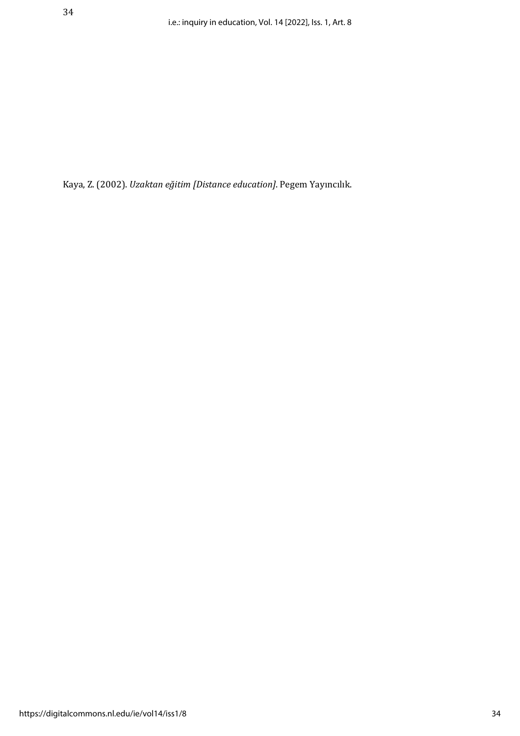Kaya, Z. (2002). *Uzaktan eğitim [Distance education]*. Pegem Yayıncılık.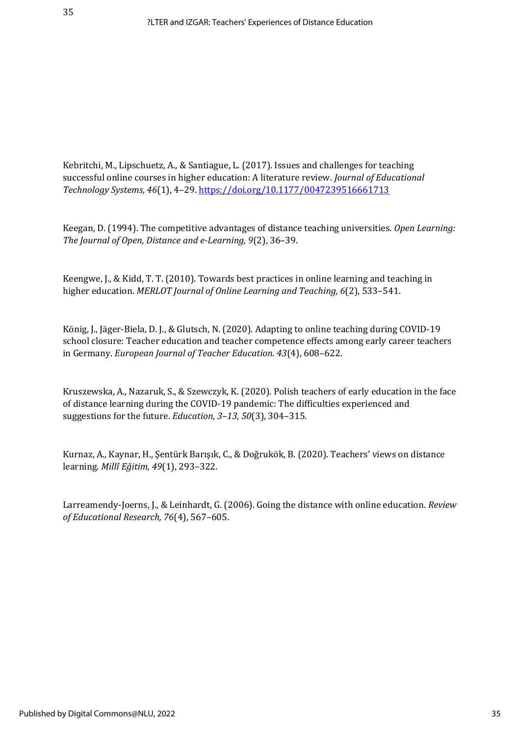Kebritchi, M., Lipschuetz, A., & Santiague, L. (2017). Issues and challenges for teaching successful online courses in higher education: A literature review. *Journal of Educational Technology Systems, 46*(1), 4–29[. https://doi.org/10.1177/0047239516661713](https://doi.org/10.1177/0047239516661713)

Keegan, D. (1994). The competitive advantages of distance teaching universities. *Open Learning: The Journal of Open, Distance and e-Learning, 9*(2), 36–39.

Keengwe, J., & Kidd, T. T. (2010). Towards best practices in online learning and teaching in higher education. *MERLOT Journal of Online Learning and Teaching, 6*(2), 533–541.

König, J., Jäger-Biela, D. J., & Glutsch, N. (2020). Adapting to online teaching during COVID-19 school closure: Teacher education and teacher competence effects among early career teachers in Germany. *European Journal of Teacher Education. 43*(4), 608–622.

Kruszewska, A., Nazaruk, S., & Szewczyk, K. (2020). Polish teachers of early education in the face of distance learning during the COVID-19 pandemic: The difficulties experienced and suggestions for the future. *Education, 3–13, 50*(3), 304–315.

Kurnaz, A., Kaynar, H., Şentürk Barışık, C., & Doğrukök, B. (2020). Teachers' views on distance learning. *Millî Eğitim, 49*(1), 293–322.

Larreamendy-Joerns, J., & Leinhardt, G. (2006). Going the distance with online education. *Review of Educational Research, 76*(4), 567–605.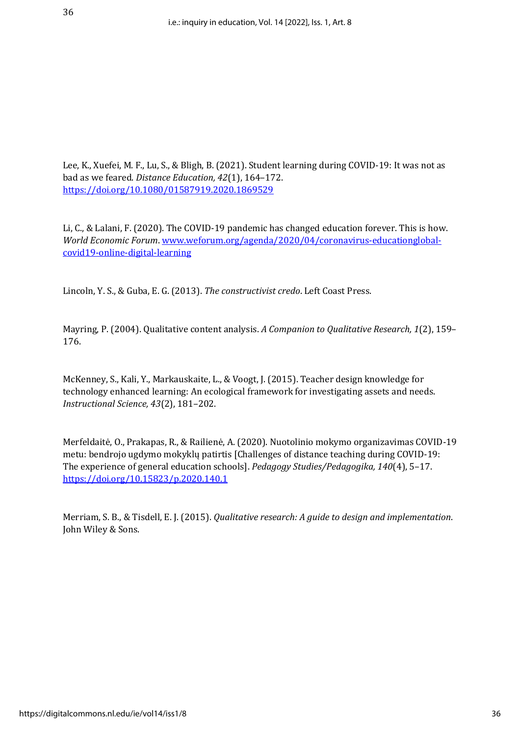Lee, K., Xuefei, M. F., Lu, S., & Bligh, B. (2021). Student learning during COVID-19: It was not as bad as we feared. *Distance Education, 42*(1), 164–172. <https://doi.org/10.1080/01587919.2020.1869529>

Li, C., & Lalani, F. (2020). The COVID-19 pandemic has changed education forever. This is how. *World Economic Forum*[. www.weforum.org/agenda/2020/04/coronavirus-educationglobal](http://www.weforum.org/agenda/2020/04/coronavirus-educationglobal-covid19-online-digital-learning)[covid19-online-digital-learning](http://www.weforum.org/agenda/2020/04/coronavirus-educationglobal-covid19-online-digital-learning)

Lincoln, Y. S., & Guba, E. G. (2013). *The constructivist credo*. Left Coast Press.

Mayring, P. (2004). Qualitative content analysis. *A Companion to Qualitative Research, 1*(2), 159– 176.

McKenney, S., Kali, Y., Markauskaite, L., & Voogt, J. (2015). Teacher design knowledge for technology enhanced learning: An ecological framework for investigating assets and needs. *Instructional Science, 43*(2), 181–202.

Merfeldaitė, O., Prakapas, R., & Railienė, A. (2020). Nuotolinio mokymo organizavimas COVID-19 metu: bendrojo ugdymo mokyklų patirtis [Challenges of distance teaching during COVID-19: The experience of general education schools]. *Pedagogy Studies/Pedagogika, 140*(4), 5–17. <https://doi.org/10.15823/p.2020.140.1>

Merriam, S. B., & Tisdell, E. J. (2015). *Qualitative research: A guide to design and implementation*. John Wiley & Sons.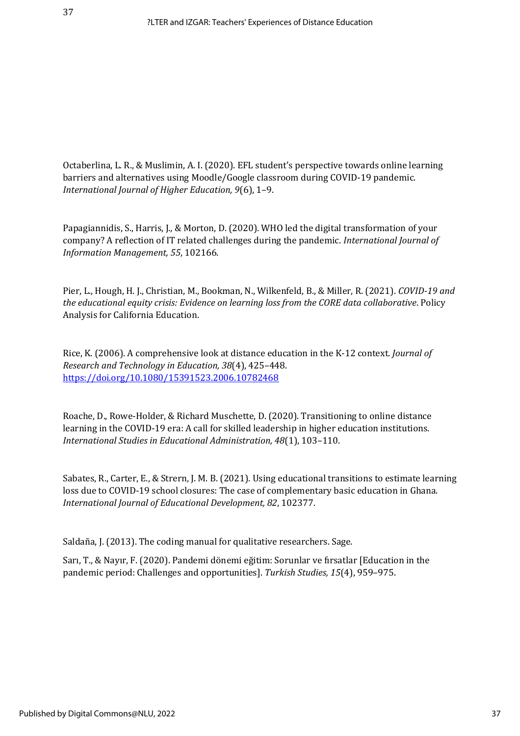Octaberlina, L. R., & Muslimin, A. I. (2020). EFL student's perspective towards online learning barriers and alternatives using Moodle/Google classroom during COVID-19 pandemic. *International Journal of Higher Education, 9*(6), 1–9.

Papagiannidis, S., Harris, J., & Morton, D. (2020). WHO led the digital transformation of your company? A reflection of IT related challenges during the pandemic. *International Journal of Information Management, 55*, 102166.

Pier, L., Hough, H. J., Christian, M., Bookman, N., Wilkenfeld, B., & Miller, R. (2021). *COVID-19 and the educational equity crisis: Evidence on learning loss from the CORE data collaborative*. Policy Analysis for California Education.

Rice, K. (2006). A comprehensive look at distance education in the K-12 context. *Journal of Research and Technology in Education, 38*(4), 425–448. <https://doi.org/10.1080/15391523.2006.10782468>

Roache, D., Rowe-Holder, & Richard Muschette, D. (2020). Transitioning to online distance learning in the COVID-19 era: A call for skilled leadership in higher education institutions. *International Studies in Educational Administration, 48*(1), 103–110.

Sabates, R., Carter, E., & Strern, J. M. B. (2021). Using educational transitions to estimate learning loss due to COVID-19 school closures: The case of complementary basic education in Ghana. *International Journal of Educational Development, 82*, 102377.

Saldaña, J. (2013). The coding manual for qualitative researchers. Sage.

Sarı, T., & Nayır, F. (2020). Pandemi dönemi eğitim: Sorunlar ve fırsatlar [Education in the pandemic period: Challenges and opportunities]. *Turkish Studies, 15*(4), 959–975.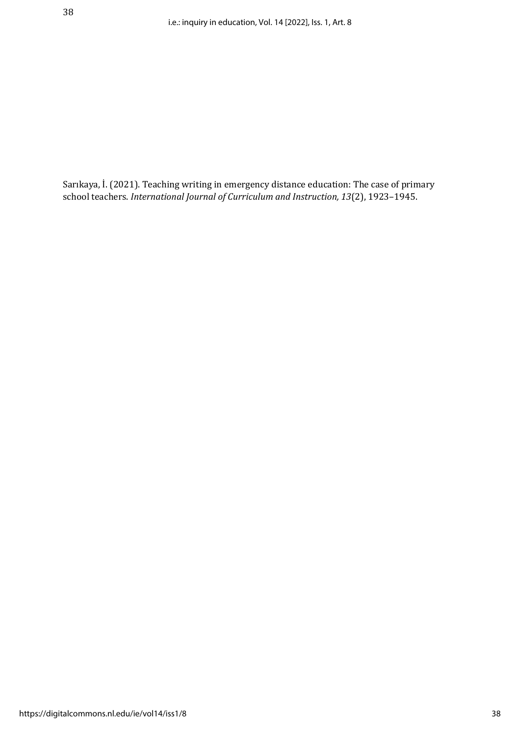Sarıkaya, İ. (2021). Teaching writing in emergency distance education: The case of primary school teachers. *International Journal of Curriculum and Instruction, 13*(2), 1923–1945.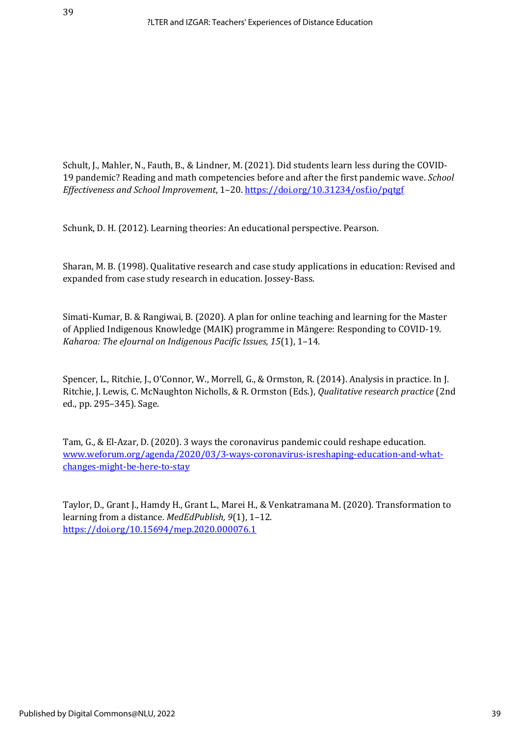Schult, J., Mahler, N., Fauth, B., & Lindner, M. (2021). Did students learn less during the COVID-19 pandemic? Reading and math competencies before and after the first pandemic wave. *School Effectiveness and School Improvement*, 1–20.<https://doi.org/10.31234/osf.io/pqtgf>

Schunk, D. H. (2012). Learning theories: An educational perspective. Pearson.

Sharan, M. B. (1998). Qualitative research and case study applications in education: Revised and expanded from case study research in education. Jossey-Bass.

Simati-Kumar, B. & Rangiwai, B. (2020). A plan for online teaching and learning for the Master of Applied Indigenous Knowledge (MAIK) programme in Māngere: Responding to COVID-19. *Kaharoa: The eJournal on Indigenous Pacific Issues, 15*(1), 1–14.

Spencer, L., Ritchie, J., O'Connor, W., Morrell, G., & Ormston, R. (2014). Analysis in practice. In J. Ritchie, J. Lewis, C. McNaughton Nicholls, & R. Ormston (Eds.), *Qualitative research practice* (2nd ed., pp. 295–345). Sage.

Tam, G., & El-Azar, D. (2020). 3 ways the coronavirus pandemic could reshape education*.*  [www.weforum.org/agenda/2020/03/3-ways-coronavirus-isreshaping-education-and-what](http://www.weforum.org/agenda/2020/03/3-ways-coronavirus-isreshaping-education-and-what-changes-might-be-here-to-stay)[changes-might-be-here-to-stay](http://www.weforum.org/agenda/2020/03/3-ways-coronavirus-isreshaping-education-and-what-changes-might-be-here-to-stay)

Taylor, D., Grant J., Hamdy H., Grant L., Marei H., & Venkatramana M. (2020). Transformation to learning from a distance. *MedEdPublish, 9*(1), 1–12. <https://doi.org/10.15694/mep.2020.000076.1>

39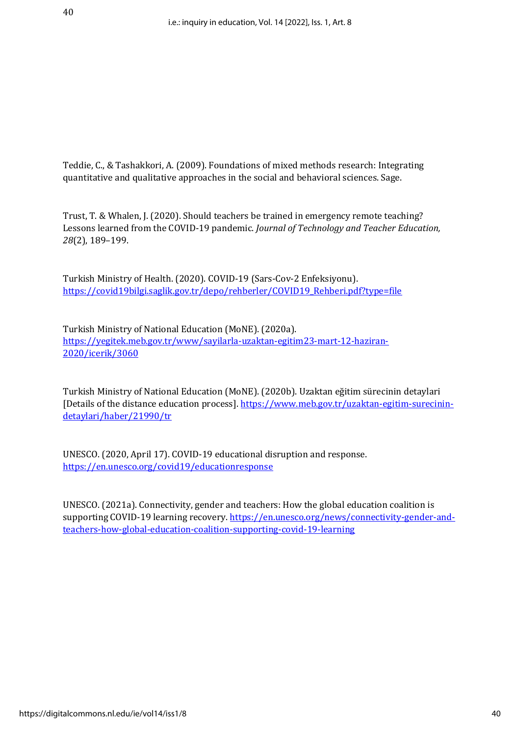Teddie, C., & Tashakkori, A. (2009). Foundations of mixed methods research: Integrating quantitative and qualitative approaches in the social and behavioral sciences. Sage.

Trust, T. & Whalen, J. (2020). Should teachers be trained in emergency remote teaching? Lessons learned from the COVID-19 pandemic. *Journal of Technology and Teacher Education, 28*(2), 189–199.

Turkish Ministry of Health. (2020). COVID-19 (Sars-Cov-2 Enfeksiyonu). [https://covid19bilgi.saglik.gov.tr/depo/rehberler/COVID19\\_Rehberi.pdf?type=file](https://covid19bilgi.saglik.gov.tr/depo/rehberler/COVID19_Rehberi.pdf?type=file)

Turkish Ministry of National Education (MoNE). (2020a). [https://yegitek.meb.gov.tr/www/sayilarla-uzaktan-egitim23-mart-12-haziran-](https://yegitek.meb.gov.tr/www/sayilarla-uzaktan-egitim23-mart-12-haziran-2020/icerik/3060)[2020/icerik/3060](https://yegitek.meb.gov.tr/www/sayilarla-uzaktan-egitim23-mart-12-haziran-2020/icerik/3060)

Turkish Ministry of National Education (MoNE). (2020b). Uzaktan eğitim sürecinin detaylari [Details of the distance education process][. https://www.meb.gov.tr/uzaktan-egitim-surecinin](https://www.meb.gov.tr/uzaktan-egitim-surecinin-detaylari/haber/21990/tr)[detaylari/haber/21990/tr](https://www.meb.gov.tr/uzaktan-egitim-surecinin-detaylari/haber/21990/tr)

UNESCO. (2020, April 17). COVID-19 educational disruption and response. <https://en.unesco.org/covid19/educationresponse>

UNESCO. (2021a). Connectivity, gender and teachers: How the global education coalition is supporting COVID-19 learning recovery. [https://en.unesco.org/news/connectivity-gender-and](https://en.unesco.org/news/connectivity-gender-and-teachers-how-global-education-coalition-supporting-covid-19-learning)[teachers-how-global-education-coalition-supporting-covid-19-learning](https://en.unesco.org/news/connectivity-gender-and-teachers-how-global-education-coalition-supporting-covid-19-learning)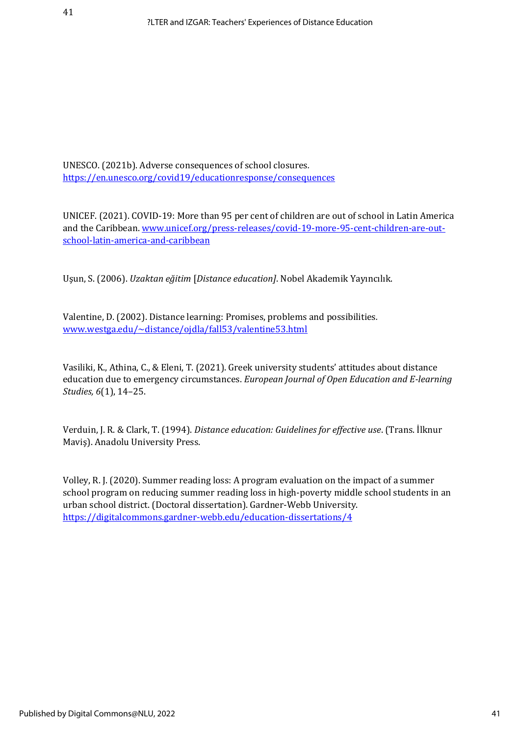UNESCO. (2021b). Adverse consequences of school closures*.* <https://en.unesco.org/covid19/educationresponse/consequences>

UNICEF. (2021). COVID-19: More than 95 per cent of children are out of school in Latin America and the Caribbean[. www.unicef.org/press-releases/covid-19-more-95-cent-children-are-out](http://www.unicef.org/press-releases/covid-19-more-95-cent-children-are-out-school-latin-america-and-caribbean)[school-latin-america-and-caribbean](http://www.unicef.org/press-releases/covid-19-more-95-cent-children-are-out-school-latin-america-and-caribbean)

Uşun, S. (2006). *Uzaktan eğitim* [*Distance education]*. Nobel Akademik Yayıncılık.

Valentine, D. (2002). Distance learning: Promises, problems and possibilities*.* [www.westga.edu/~distance/ojdla/fall53/valentine53.html](http://www.westga.edu/~distance/ojdla/fall53/valentine53.html)

Vasiliki, K., Athina, C., & Eleni, T. (2021). Greek university students' attitudes about distance education due to emergency circumstances. *European Journal of Open Education and E-learning Studies, 6*(1), 14–25.

Verduin, J. R. & Clark, T. (1994). *Distance education: Guidelines for effective use*. (Trans. İlknur Maviş). Anadolu University Press.

Volley, R. J. (2020). Summer reading loss: A program evaluation on the impact of a summer school program on reducing summer reading loss in high-poverty middle school students in an urban school district. (Doctoral dissertation). Gardner-Webb University. <https://digitalcommons.gardner-webb.edu/education-dissertations/4>